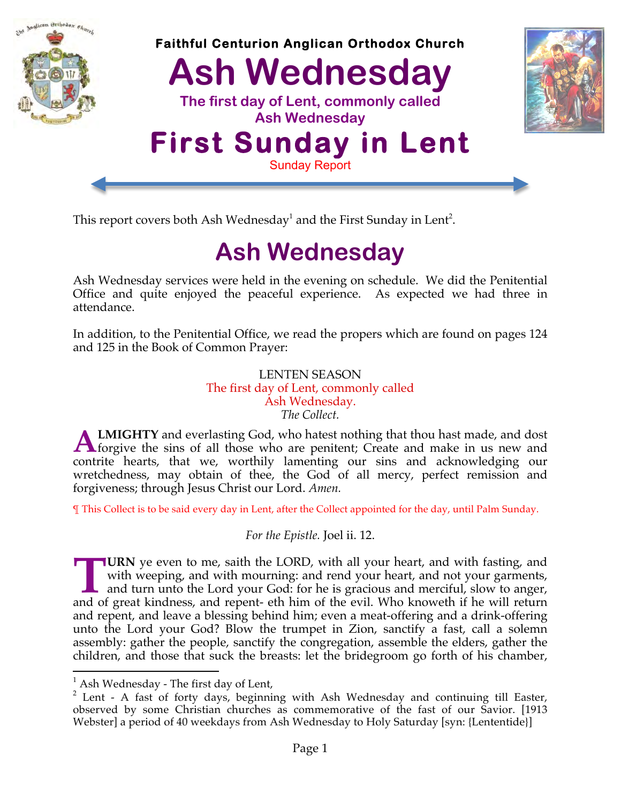

This report covers both Ash Wednesday<sup>1</sup> and the First Sunday in Lent<sup>2</sup>.

# **Ash Wednesday**

Ash Wednesday services were held in the evening on schedule. We did the Penitential Office and quite enjoyed the peaceful experience. As expected we had three in attendance.

In addition, to the Penitential Office, we read the propers which are found on pages 124 and 125 in the Book of Common Prayer:

> LENTEN SEASON The first day of Lent, commonly called Ash Wednesday. *The Collect.*

**LMIGHTY** and everlasting God, who hatest nothing that thou hast made, and dost **ALMIGHTY** and everlasting God, who hatest nothing that thou hast made, and dost forgive the sins of all those who are penitent; Create and make in us new and contrite hearts, that we, worthily lamenting our sins and acknowledging our wretchedness, may obtain of thee, the God of all mercy, perfect remission and forgiveness; through Jesus Christ our Lord. *Amen.*

¶ This Collect is to be said every day in Lent, after the Collect appointed for the day, until Palm Sunday.

*For the Epistle.* Joel ii. 12.

**IURN** ye even to me, saith the LORD, with all your heart, and with fasting, and with weeping, and with mourning: and rend your heart, and not your garments, and turn unto the Lord your God: for he is gracious and merciful, slow to anger, **TURN** ye even to me, saith the LORD, with all your heart, and with fasting, and with weeping, and with mourning: and rend your heart, and not your garments, and turn unto the Lord your God: for he is gracious and merciful and repent, and leave a blessing behind him; even a meat-offering and a drink-offering unto the Lord your God? Blow the trumpet in Zion, sanctify a fast, call a solemn assembly: gather the people, sanctify the congregation, assemble the elders, gather the children, and those that suck the breasts: let the bridegroom go forth of his chamber,

 $<sup>1</sup>$  Ash Wednesday - The first day of Lent,</sup>

<sup>&</sup>lt;sup>2</sup> Lent - A fast of forty days, beginning with Ash Wednesday and continuing till Easter, observed by some Christian churches as commemorative of the fast of our Savior. [1913 Webster] a period of 40 weekdays from Ash Wednesday to Holy Saturday [syn: {Lententide}]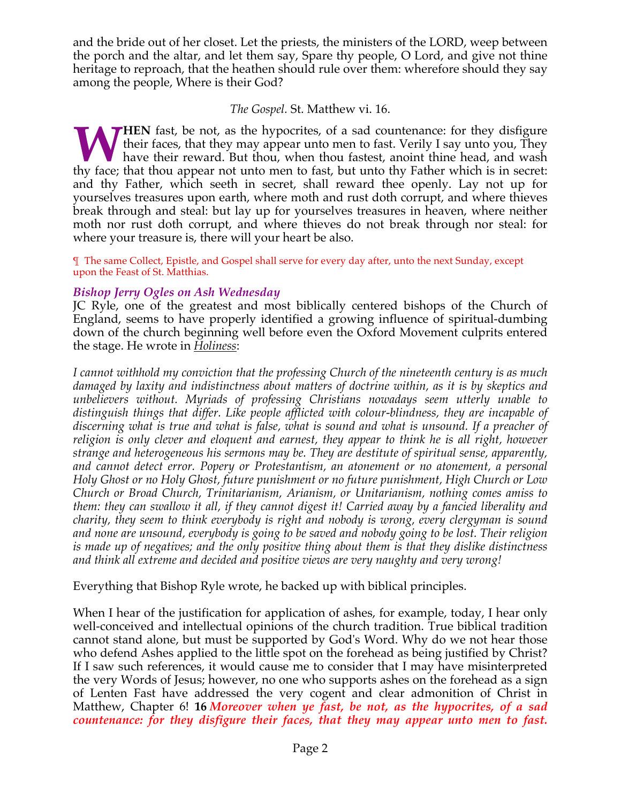and the bride out of her closet. Let the priests, the ministers of the LORD, weep between the porch and the altar, and let them say, Spare thy people, O Lord, and give not thine heritage to reproach, that the heathen should rule over them: wherefore should they say among the people, Where is their God?

#### *The Gospel.* St. Matthew vi. 16.

**HEN** fast, be not, as the hypocrites, of a sad countenance: for they disfigure their faces, that they may appear unto men to fast. Verily I say unto you, They have their reward. But thou, when thou fastest, anoint thine head, and wash **then** faces, that they may appear unto men to fast. Verily I say unto you, They have their reward. But thou, when thou fastest, anoint thine head, and wash thy face; that thou appear not unto men to fast, but unto thy Fat and thy Father, which seeth in secret, shall reward thee openly. Lay not up for yourselves treasures upon earth, where moth and rust doth corrupt, and where thieves break through and steal: but lay up for yourselves treasures in heaven, where neither moth nor rust doth corrupt, and where thieves do not break through nor steal: for where your treasure is, there will your heart be also.

¶ The same Collect, Epistle, and Gospel shall serve for every day after, unto the next Sunday, except upon the Feast of St. Matthias.

#### *Bishop Jerry Ogles on Ash Wednesday*

JC Ryle, one of the greatest and most biblically centered bishops of the Church of England, seems to have properly identified a growing influence of spiritual-dumbing down of the church beginning well before even the Oxford Movement culprits entered the stage. He wrote in *Holiness*:

*I cannot withhold my conviction that the professing Church of the nineteenth century is as much damaged by laxity and indistinctness about matters of doctrine within, as it is by skeptics and unbelievers without. Myriads of professing Christians nowadays seem utterly unable to distinguish things that differ. Like people afflicted with colour-blindness, they are incapable of discerning what is true and what is false, what is sound and what is unsound. If a preacher of religion is only clever and eloquent and earnest, they appear to think he is all right, however strange and heterogeneous his sermons may be. They are destitute of spiritual sense, apparently, and cannot detect error. Popery or Protestantism, an atonement or no atonement, a personal Holy Ghost or no Holy Ghost, future punishment or no future punishment, High Church or Low Church or Broad Church, Trinitarianism, Arianism, or Unitarianism, nothing comes amiss to them: they can swallow it all, if they cannot digest it! Carried away by a fancied liberality and charity, they seem to think everybody is right and nobody is wrong, every clergyman is sound and none are unsound, everybody is going to be saved and nobody going to be lost. Their religion is made up of negatives; and the only positive thing about them is that they dislike distinctness and think all extreme and decided and positive views are very naughty and very wrong!*

Everything that Bishop Ryle wrote, he backed up with biblical principles.

When I hear of the justification for application of ashes, for example, today, I hear only well-conceived and intellectual opinions of the church tradition. True biblical tradition cannot stand alone, but must be supported by God's Word. Why do we not hear those who defend Ashes applied to the little spot on the forehead as being justified by Christ? If I saw such references, it would cause me to consider that I may have misinterpreted the very Words of Jesus; however, no one who supports ashes on the forehead as a sign of Lenten Fast have addressed the very cogent and clear admonition of Christ in Matthew, Chapter 6! **16** *Moreover when ye fast, be not, as the hypocrites, of a sad countenance: for they disfigure their faces, that they may appear unto men to fast.*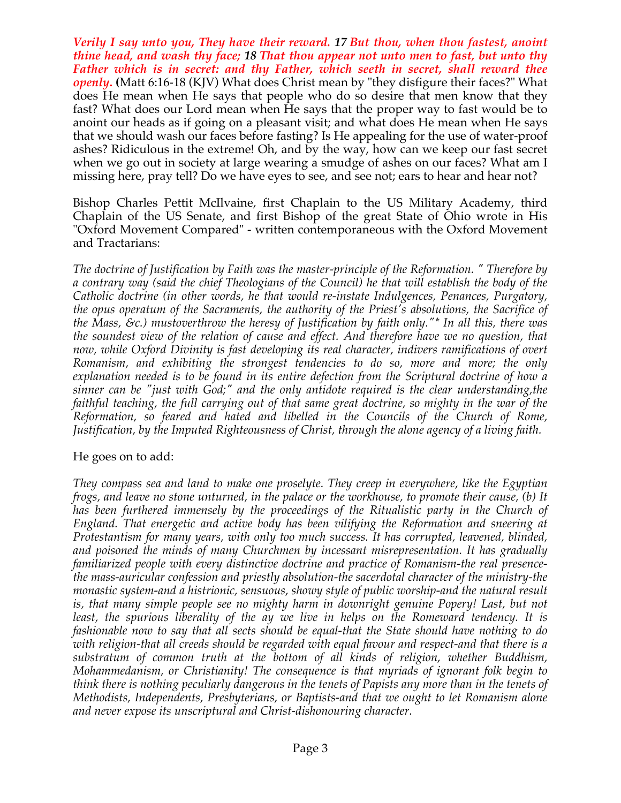*Verily I say unto you, They have their reward. 17 But thou, when thou fastest, anoint thine head, and wash thy face; 18 That thou appear not unto men to fast, but unto thy Father which is in secret: and thy Father, which seeth in secret, shall reward thee openly***. (**Matt 6:16-18 (KJV) What does Christ mean by "they disfigure their faces?" What does He mean when He says that people who do so desire that men know that they fast? What does our Lord mean when He says that the proper way to fast would be to anoint our heads as if going on a pleasant visit; and what does He mean when He says that we should wash our faces before fasting? Is He appealing for the use of water-proof ashes? Ridiculous in the extreme! Oh, and by the way, how can we keep our fast secret when we go out in society at large wearing a smudge of ashes on our faces? What am I missing here, pray tell? Do we have eyes to see, and see not; ears to hear and hear not?

Bishop Charles Pettit McIlvaine, first Chaplain to the US Military Academy, third Chaplain of the US Senate, and first Bishop of the great State of Ohio wrote in His "Oxford Movement Compared" - written contemporaneous with the Oxford Movement and Tractarians:

*The doctrine of Justification by Faith was the master-principle of the Reformation. " Therefore by a contrary way (said the chief Theologians of the Council) he that will establish the body of the Catholic doctrine (in other words, he that would re-instate Indulgences, Penances, Purgatory, the opus operatum of the Sacraments, the authority of the Priest's absolutions, the Sacrifice of the Mass, &c.) mustoverthrow the heresy of Justification by faith only."\* In all this, there was the soundest view of the relation of cause and effect. And therefore have we no question, that now, while Oxford Divinity is fast developing its real character, indivers ramifications of overt Romanism, and exhibiting the strongest tendencies to do so, more and more; the only explanation needed is to be found in its entire defection from the Scriptural doctrine of how a sinner can be "just with God;" and the only antidote required is the clear understanding,the faithful teaching, the full carrying out of that same great doctrine, so mighty in the war of the Reformation, so feared and hated and libelled in the Councils of the Church of Rome, Justification, by the Imputed Righteousness of Christ, through the alone agency of a living faith.*

#### He goes on to add:

*They compass sea and land to make one proselyte. They creep in everywhere, like the Egyptian frogs, and leave no stone unturned, in the palace or the workhouse, to promote their cause, (b) It*  has been furthered immensely by the proceedings of the Ritualistic party in the Church of *England. That energetic and active body has been vilifying the Reformation and sneering at Protestantism for many years, with only too much success. It has corrupted, leavened, blinded, and poisoned the minds of many Churchmen by incessant misrepresentation. It has gradually familiarized people with every distinctive doctrine and practice of Romanism-the real presencethe mass-auricular confession and priestly absolution-the sacerdotal character of the ministry-the monastic system-and a histrionic, sensuous, showy style of public worship-and the natural result*  is, that many simple people see no mighty harm in downright genuine Popery! Last, but not least, the spurious liberality of the ay we live in helps on the Romeward tendency. It is *fashionable now to say that all sects should be equal-that the State should have nothing to do with religion-that all creeds should be regarded with equal favour and respect-and that there is a substratum of common truth at the bottom of all kinds of religion, whether Buddhism, Mohammedanism, or Christianity! The consequence is that myriads of ignorant folk begin to think there is nothing peculiarly dangerous in the tenets of Papists any more than in the tenets of Methodists, Independents, Presbyterians, or Baptists-and that we ought to let Romanism alone and never expose its unscriptural and Christ-dishonouring character.*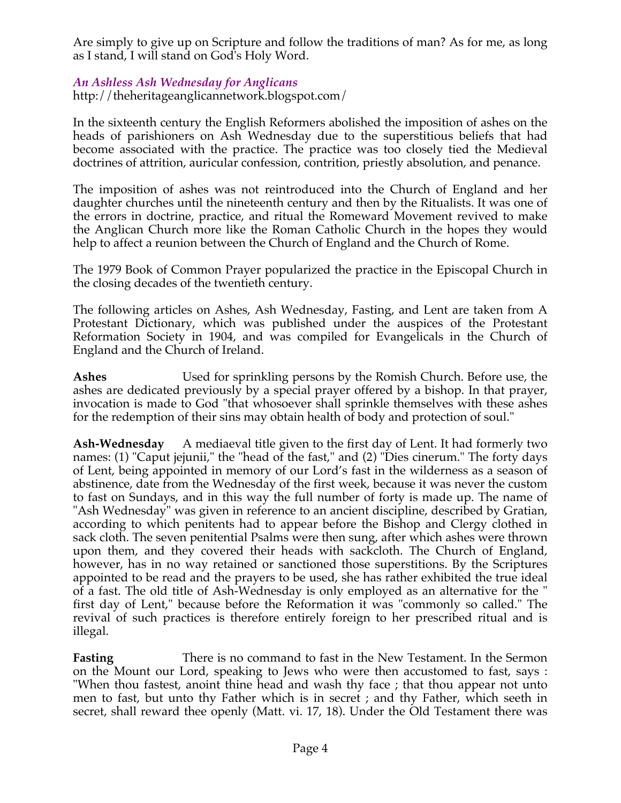Are simply to give up on Scripture and follow the traditions of man? As for me, as long as I stand, I will stand on God's Holy Word.

#### *An Ashless Ash Wednesday for Anglicans*

http://theheritageanglicannetwork.blogspot.com/

In the sixteenth century the English Reformers abolished the imposition of ashes on the heads of parishioners on Ash Wednesday due to the superstitious beliefs that had become associated with the practice. The practice was too closely tied the Medieval doctrines of attrition, auricular confession, contrition, priestly absolution, and penance.

The imposition of ashes was not reintroduced into the Church of England and her daughter churches until the nineteenth century and then by the Ritualists. It was one of the errors in doctrine, practice, and ritual the Romeward Movement revived to make the Anglican Church more like the Roman Catholic Church in the hopes they would help to affect a reunion between the Church of England and the Church of Rome.

The 1979 Book of Common Prayer popularized the practice in the Episcopal Church in the closing decades of the twentieth century.

The following articles on Ashes, Ash Wednesday, Fasting, and Lent are taken from A Protestant Dictionary, which was published under the auspices of the Protestant Reformation Society in 1904, and was compiled for Evangelicals in the Church of England and the Church of Ireland.

**Ashes** Used for sprinkling persons by the Romish Church. Before use, the ashes are dedicated previously by a special prayer offered by a bishop. In that prayer, invocation is made to God "that whosoever shall sprinkle themselves with these ashes for the redemption of their sins may obtain health of body and protection of soul."

Ash-Wednesday A mediaeval title given to the first day of Lent. It had formerly two names: (1) "Caput jejunii," the "head of the fast," and (2) "Dies cinerum." The forty days of Lent, being appointed in memory of our Lord's fast in the wilderness as a season of abstinence, date from the Wednesday of the first week, because it was never the custom to fast on Sundays, and in this way the full number of forty is made up. The name of "Ash Wednesday" was given in reference to an ancient discipline, described by Gratian, according to which penitents had to appear before the Bishop and Clergy clothed in sack cloth. The seven penitential Psalms were then sung, after which ashes were thrown upon them, and they covered their heads with sackcloth. The Church of England, however, has in no way retained or sanctioned those superstitions. By the Scriptures appointed to be read and the prayers to be used, she has rather exhibited the true ideal of a fast. The old title of Ash-Wednesday is only employed as an alternative for the " first day of Lent," because before the Reformation it was "commonly so called." The revival of such practices is therefore entirely foreign to her prescribed ritual and is illegal.

**Fasting** There is no command to fast in the New Testament. In the Sermon on the Mount our Lord, speaking to Jews who were then accustomed to fast, says : "When thou fastest, anoint thine head and wash thy face ; that thou appear not unto men to fast, but unto thy Father which is in secret ; and thy Father, which seeth in secret, shall reward thee openly (Matt. vi. 17, 18). Under the Old Testament there was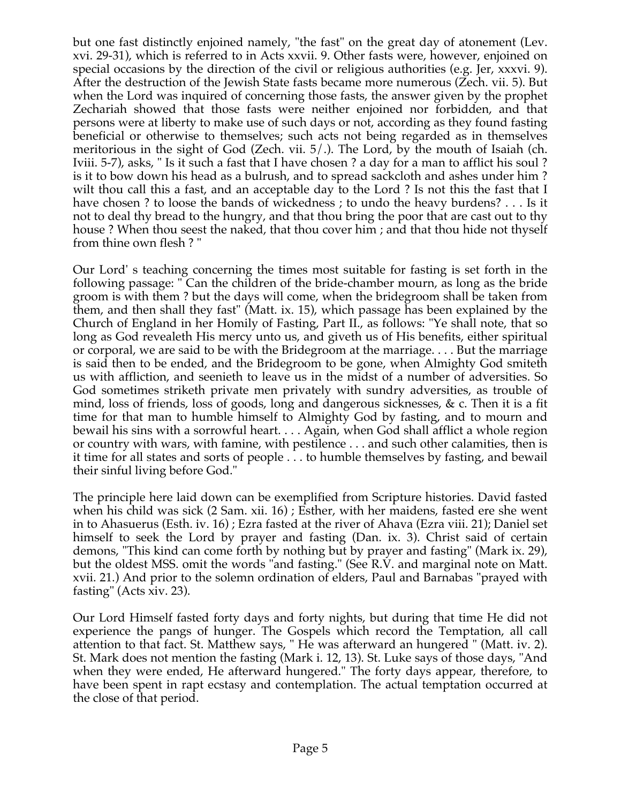but one fast distinctly enjoined namely, "the fast" on the great day of atonement (Lev. xvi. 29-31), which is referred to in Acts xxvii. 9. Other fasts were, however, enjoined on special occasions by the direction of the civil or religious authorities (e.g. Jer, xxxvi. 9). After the destruction of the Jewish State fasts became more numerous (Zech. vii. 5). But when the Lord was inquired of concerning those fasts, the answer given by the prophet Zechariah showed that those fasts were neither enjoined nor forbidden, and that persons were at liberty to make use of such days or not, according as they found fasting beneficial or otherwise to themselves; such acts not being regarded as in themselves meritorious in the sight of God (Zech. vii. 5/.). The Lord, by the mouth of Isaiah (ch. Iviii. 5-7), asks, " Is it such a fast that I have chosen ? a day for a man to afflict his soul ? is it to bow down his head as a bulrush, and to spread sackcloth and ashes under him ? wilt thou call this a fast, and an acceptable day to the Lord? Is not this the fast that I have chosen ? to loose the bands of wickedness ; to undo the heavy burdens? . . . Is it not to deal thy bread to the hungry, and that thou bring the poor that are cast out to thy house ? When thou seest the naked, that thou cover him ; and that thou hide not thyself from thine own flesh ? "

Our Lord' s teaching concerning the times most suitable for fasting is set forth in the following passage: " Can the children of the bride-chamber mourn, as long as the bride groom is with them ? but the days will come, when the bridegroom shall be taken from them, and then shall they fast" (Matt. ix. 15), which passage has been explained by the Church of England in her Homily of Fasting, Part II., as follows: "Ye shall note, that so long as God revealeth His mercy unto us, and giveth us of His benefits, either spiritual or corporal, we are said to be with the Bridegroom at the marriage. . . . But the marriage is said then to be ended, and the Bridegroom to be gone, when Almighty God smiteth us with affliction, and seenieth to leave us in the midst of a number of adversities. So God sometimes striketh private men privately with sundry adversities, as trouble of mind, loss of friends, loss of goods, long and dangerous sicknesses, & c. Then it is a fit time for that man to humble himself to Almighty God by fasting, and to mourn and bewail his sins with a sorrowful heart. . . . Again, when God shall afflict a whole region or country with wars, with famine, with pestilence . . . and such other calamities, then is it time for all states and sorts of people . . . to humble themselves by fasting, and bewail their sinful living before God."

The principle here laid down can be exemplified from Scripture histories. David fasted when his child was sick (2 Sam. xii. 16) ; Esther, with her maidens, fasted ere she went in to Ahasuerus (Esth. iv. 16) ; Ezra fasted at the river of Ahava (Ezra viii. 21); Daniel set himself to seek the Lord by prayer and fasting (Dan. ix. 3). Christ said of certain demons, "This kind can come forth by nothing but by prayer and fasting" (Mark ix. 29), but the oldest MSS. omit the words "and fasting." (See R.V. and marginal note on Matt. xvii. 21.) And prior to the solemn ordination of elders, Paul and Barnabas "prayed with fasting" (Acts xiv. 23).

Our Lord Himself fasted forty days and forty nights, but during that time He did not experience the pangs of hunger. The Gospels which record the Temptation, all call attention to that fact. St. Matthew says, " He was afterward an hungered " (Matt. iv. 2). St. Mark does not mention the fasting (Mark i. 12, 13). St. Luke says of those days, "And when they were ended, He afterward hungered." The forty days appear, therefore, to have been spent in rapt ecstasy and contemplation. The actual temptation occurred at the close of that period.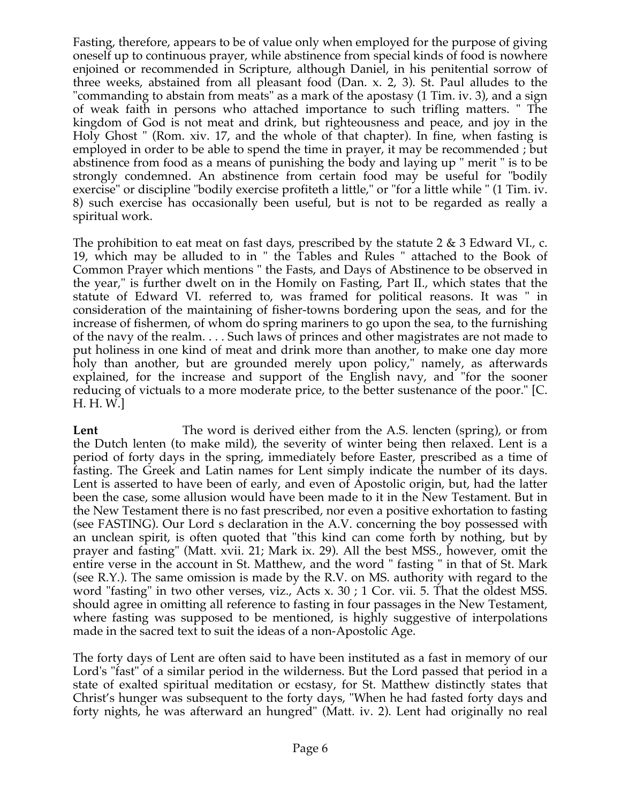Fasting, therefore, appears to be of value only when employed for the purpose of giving oneself up to continuous prayer, while abstinence from special kinds of food is nowhere enjoined or recommended in Scripture, although Daniel, in his penitential sorrow of three weeks, abstained from all pleasant food (Dan. x. 2, 3). St. Paul alludes to the "commanding to abstain from meats" as a mark of the apostasy (1 Tim. iv. 3), and a sign of weak faith in persons who attached importance to such trifling matters. " The kingdom of God is not meat and drink, but righteousness and peace, and joy in the Holy Ghost " (Rom. xiv. 17, and the whole of that chapter). In fine, when fasting is employed in order to be able to spend the time in prayer, it may be recommended ; but abstinence from food as a means of punishing the body and laying up " merit " is to be strongly condemned. An abstinence from certain food may be useful for "bodily exercise" or discipline "bodily exercise profiteth a little," or "for a little while " (1 Tim. iv. 8) such exercise has occasionally been useful, but is not to be regarded as really a spiritual work.

The prohibition to eat meat on fast days, prescribed by the statute 2 & 3 Edward VI., c. 19, which may be alluded to in " the Tables and Rules " attached to the Book of Common Prayer which mentions " the Fasts, and Days of Abstinence to be observed in the year," is further dwelt on in the Homily on Fasting, Part II., which states that the statute of Edward VI. referred to, was framed for political reasons. It was " in consideration of the maintaining of fisher-towns bordering upon the seas, and for the increase of fishermen, of whom do spring mariners to go upon the sea, to the furnishing of the navy of the realm. . . . Such laws of princes and other magistrates are not made to put holiness in one kind of meat and drink more than another, to make one day more holy than another, but are grounded merely upon policy," namely, as afterwards explained, for the increase and support of the English navy, and "for the sooner reducing of victuals to a more moderate price, to the better sustenance of the poor." [C. H. H. W.]

**Lent** The word is derived either from the A.S. lencten (spring), or from the Dutch lenten (to make mild), the severity of winter being then relaxed. Lent is a period of forty days in the spring, immediately before Easter, prescribed as a time of fasting. The Greek and Latin names for Lent simply indicate the number of its days. Lent is asserted to have been of early, and even of Apostolic origin, but, had the latter been the case, some allusion would have been made to it in the New Testament. But in the New Testament there is no fast prescribed, nor even a positive exhortation to fasting (see FASTING). Our Lord s declaration in the A.V. concerning the boy possessed with an unclean spirit, is often quoted that "this kind can come forth by nothing, but by prayer and fasting" (Matt. xvii. 21; Mark ix. 29). All the best MSS., however, omit the entire verse in the account in St. Matthew, and the word " fasting " in that of St. Mark (see R.Y.). The same omission is made by the R.V. on MS. authority with regard to the word "fasting" in two other verses, viz., Acts x. 30 ; 1 Cor. vii. 5. That the oldest MSS. should agree in omitting all reference to fasting in four passages in the New Testament, where fasting was supposed to be mentioned, is highly suggestive of interpolations made in the sacred text to suit the ideas of a non-Apostolic Age.

The forty days of Lent are often said to have been instituted as a fast in memory of our Lord's "fast" of a similar period in the wilderness. But the Lord passed that period in a state of exalted spiritual meditation or ecstasy, for St. Matthew distinctly states that Christ's hunger was subsequent to the forty days, "When he had fasted forty days and forty nights, he was afterward an hungred" (Matt. iv. 2). Lent had originally no real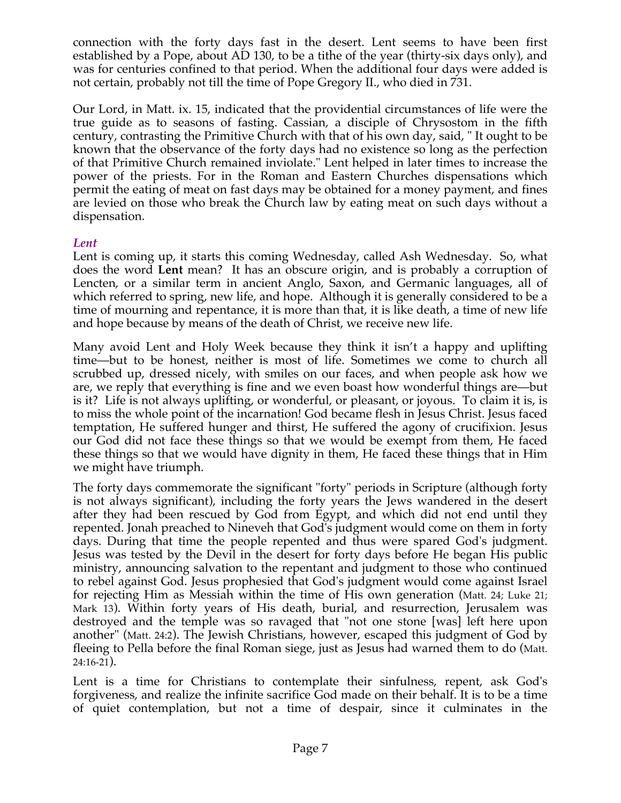connection with the forty days fast in the desert. Lent seems to have been first established by a Pope, about AD 130, to be a tithe of the year (thirty-six days only), and was for centuries confined to that period. When the additional four days were added is not certain, probably not till the time of Pope Gregory II., who died in 731.

Our Lord, in Matt. ix. 15, indicated that the providential circumstances of life were the true guide as to seasons of fasting. Cassian, a disciple of Chrysostom in the fifth century, contrasting the Primitive Church with that of his own day, said, " It ought to be known that the observance of the forty days had no existence so long as the perfection of that Primitive Church remained inviolate." Lent helped in later times to increase the power of the priests. For in the Roman and Eastern Churches dispensations which permit the eating of meat on fast days may be obtained for a money payment, and fines are levied on those who break the Church law by eating meat on such days without a dispensation.

#### *Lent*

Lent is coming up, it starts this coming Wednesday, called Ash Wednesday. So, what does the word **Lent** mean? It has an obscure origin, and is probably a corruption of Lencten, or a similar term in ancient Anglo, Saxon, and Germanic languages, all of which referred to spring, new life, and hope. Although it is generally considered to be a time of mourning and repentance, it is more than that, it is like death, a time of new life and hope because by means of the death of Christ, we receive new life.

Many avoid Lent and Holy Week because they think it isn't a happy and uplifting time—but to be honest, neither is most of life. Sometimes we come to church all scrubbed up, dressed nicely, with smiles on our faces, and when people ask how we are, we reply that everything is fine and we even boast how wonderful things are—but is it? Life is not always uplifting, or wonderful, or pleasant, or joyous. To claim it is, is to miss the whole point of the incarnation! God became flesh in Jesus Christ. Jesus faced temptation, He suffered hunger and thirst, He suffered the agony of crucifixion. Jesus our God did not face these things so that we would be exempt from them, He faced these things so that we would have dignity in them, He faced these things that in Him we might have triumph.

The forty days commemorate the significant "forty" periods in Scripture (although forty is not always significant), including the forty years the Jews wandered in the desert after they had been rescued by God from Egypt, and which did not end until they repented. Jonah preached to Nineveh that God's judgment would come on them in forty days. During that time the people repented and thus were spared God's judgment. Jesus was tested by the Devil in the desert for forty days before He began His public ministry, announcing salvation to the repentant and judgment to those who continued to rebel against God. Jesus prophesied that God's judgment would come against Israel for rejecting Him as Messiah within the time of His own generation (Matt. 24; Luke 21; Mark 13). Within forty years of His death, burial, and resurrection, Jerusalem was destroyed and the temple was so ravaged that "not one stone [was] left here upon another" (Matt. 24:2). The Jewish Christians, however, escaped this judgment of God by fleeing to Pella before the final Roman siege, just as Jesus had warned them to do (Matt. 24:16-21).

Lent is a time for Christians to contemplate their sinfulness, repent, ask God's forgiveness, and realize the infinite sacrifice God made on their behalf. It is to be a time of quiet contemplation, but not a time of despair, since it culminates in the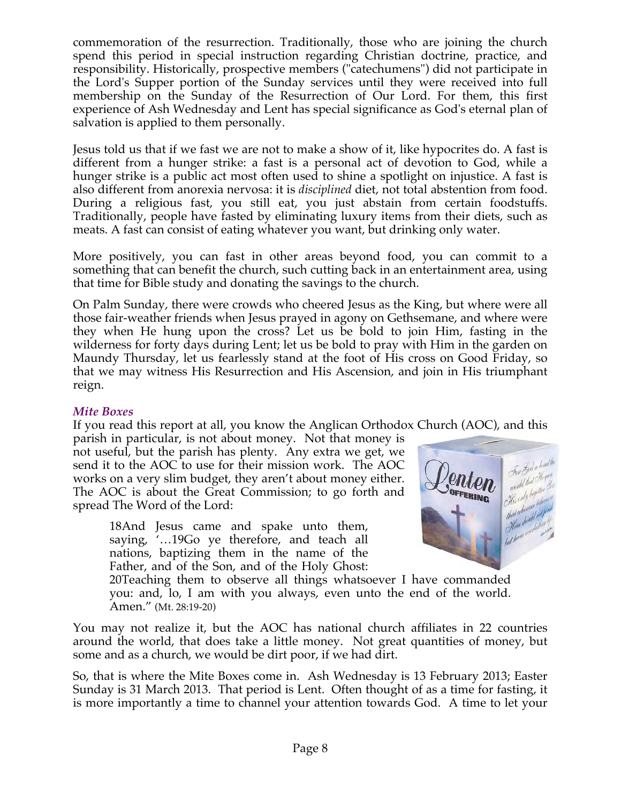commemoration of the resurrection. Traditionally, those who are joining the church spend this period in special instruction regarding Christian doctrine, practice, and responsibility. Historically, prospective members ("catechumens") did not participate in the Lord's Supper portion of the Sunday services until they were received into full membership on the Sunday of the Resurrection of Our Lord. For them, this first experience of Ash Wednesday and Lent has special significance as God's eternal plan of salvation is applied to them personally.

Jesus told us that if we fast we are not to make a show of it, like hypocrites do. A fast is different from a hunger strike: a fast is a personal act of devotion to God, while a hunger strike is a public act most often used to shine a spotlight on injustice. A fast is also different from anorexia nervosa: it is *disciplined* diet, not total abstention from food. During a religious fast, you still eat, you just abstain from certain foodstuffs. Traditionally, people have fasted by eliminating luxury items from their diets, such as meats. A fast can consist of eating whatever you want, but drinking only water.

More positively, you can fast in other areas beyond food, you can commit to a something that can benefit the church, such cutting back in an entertainment area, using that time for Bible study and donating the savings to the church.

On Palm Sunday, there were crowds who cheered Jesus as the King, but where were all those fair-weather friends when Jesus prayed in agony on Gethsemane, and where were they when He hung upon the cross? Let us be bold to join Him, fasting in the wilderness for forty days during Lent; let us be bold to pray with Him in the garden on Maundy Thursday, let us fearlessly stand at the foot of His cross on Good Friday, so that we may witness His Resurrection and His Ascension, and join in His triumphant reign.

#### *Mite Boxes*

If you read this report at all, you know the Anglican Orthodox Church (AOC), and this

parish in particular, is not about money. Not that money is not useful, but the parish has plenty. Any extra we get, we send it to the AOC to use for their mission work. The AOC works on a very slim budget, they aren't about money either. The AOC is about the Great Commission; to go forth and spread The Word of the Lord:

> 18And Jesus came and spake unto them, saying, '…19Go ye therefore, and teach all nations, baptizing them in the name of the Father, and of the Son, and of the Holy Ghost:



20Teaching them to observe all things whatsoever I have commanded you: and, lo, I am with you always, even unto the end of the world. Amen." (Mt. 28:19-20)

You may not realize it, but the AOC has national church affiliates in 22 countries around the world, that does take a little money. Not great quantities of money, but some and as a church, we would be dirt poor, if we had dirt.

So, that is where the Mite Boxes come in. Ash Wednesday is 13 February 2013; Easter Sunday is 31 March 2013. That period is Lent. Often thought of as a time for fasting, it is more importantly a time to channel your attention towards God. A time to let your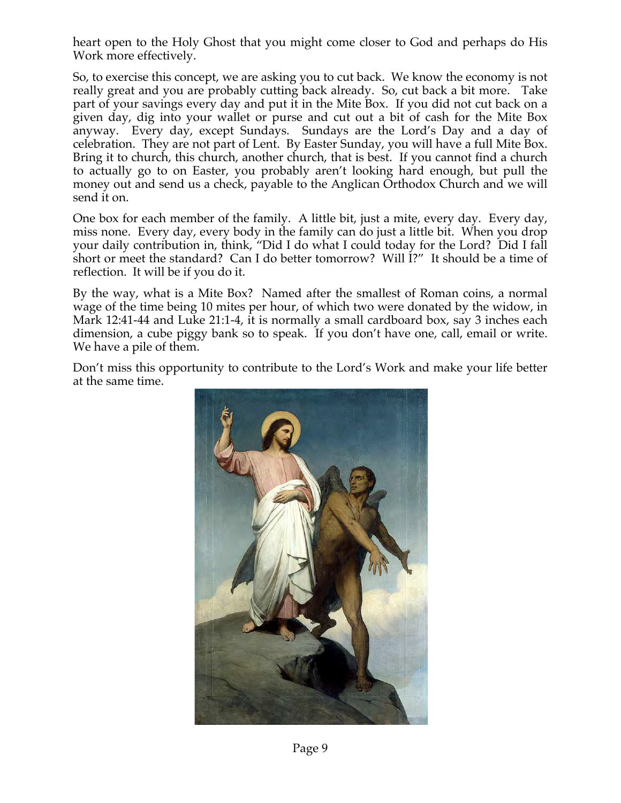heart open to the Holy Ghost that you might come closer to God and perhaps do His Work more effectively.

So, to exercise this concept, we are asking you to cut back. We know the economy is not really great and you are probably cutting back already. So, cut back a bit more. Take part of your savings every day and put it in the Mite Box. If you did not cut back on a given day, dig into your wallet or purse and cut out a bit of cash for the Mite Box anyway. Every day, except Sundays. Sundays are the Lord's Day and a day of celebration. They are not part of Lent. By Easter Sunday, you will have a full Mite Box. Bring it to church, this church, another church, that is best. If you cannot find a church to actually go to on Easter, you probably aren't looking hard enough, but pull the money out and send us a check, payable to the Anglican Orthodox Church and we will send it on.

One box for each member of the family. A little bit, just a mite, every day. Every day, miss none. Every day, every body in the family can do just a little bit. When you drop your daily contribution in, think, "Did I do what I could today for the Lord? Did I fall short or meet the standard? Can I do better tomorrow? Will I?" It should be a time of reflection. It will be if you do it.

By the way, what is a Mite Box? Named after the smallest of Roman coins, a normal wage of the time being 10 mites per hour, of which two were donated by the widow, in Mark 12:41-44 and Luke 21:1-4, it is normally a small cardboard box, say 3 inches each dimension, a cube piggy bank so to speak. If you don't have one, call, email or write. We have a pile of them.

Don't miss this opportunity to contribute to the Lord's Work and make your life better at the same time.

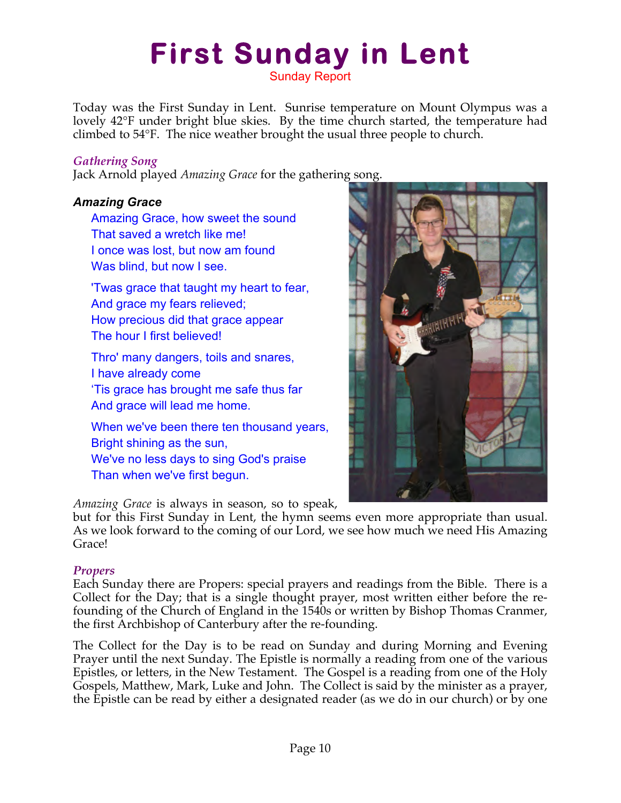# **First Sunday in Lent**

Sunday Report

Today was the First Sunday in Lent. Sunrise temperature on Mount Olympus was a lovely 42°F under bright blue skies. By the time church started, the temperature had climbed to 54°F. The nice weather brought the usual three people to church.

#### *Gathering Song*

Jack Arnold played *Amazing Grace* for the gathering song.

# *Amazing Grace*

Amazing Grace, how sweet the sound That saved a wretch like me! I once was lost, but now am found Was blind, but now I see.

'Twas grace that taught my heart to fear, And grace my fears relieved; How precious did that grace appear The hour I first believed!

Thro' many dangers, toils and snares, I have already come 'Tis grace has brought me safe thus far And grace will lead me home.

When we've been there ten thousand years, Bright shining as the sun, We've no less days to sing God's praise Than when we've first begun.



*Amazing Grace* is always in season, so to speak,

but for this First Sunday in Lent, the hymn seems even more appropriate than usual. As we look forward to the coming of our Lord, we see how much we need His Amazing Grace!

#### *Propers*

Each Sunday there are Propers: special prayers and readings from the Bible. There is a Collect for the Day; that is a single thought prayer, most written either before the refounding of the Church of England in the 1540s or written by Bishop Thomas Cranmer, the first Archbishop of Canterbury after the re-founding.

The Collect for the Day is to be read on Sunday and during Morning and Evening Prayer until the next Sunday. The Epistle is normally a reading from one of the various Epistles, or letters, in the New Testament. The Gospel is a reading from one of the Holy Gospels, Matthew, Mark, Luke and John. The Collect is said by the minister as a prayer, the Epistle can be read by either a designated reader (as we do in our church) or by one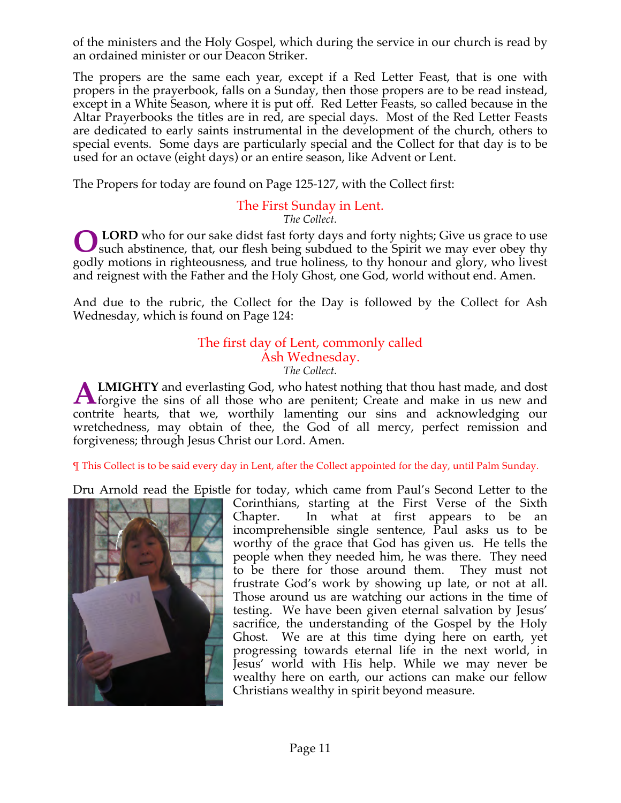of the ministers and the Holy Gospel, which during the service in our church is read by an ordained minister or our Deacon Striker.

The propers are the same each year, except if a Red Letter Feast, that is one with propers in the prayerbook, falls on a Sunday, then those propers are to be read instead, except in a White Season, where it is put off. Red Letter Feasts, so called because in the Altar Prayerbooks the titles are in red, are special days. Most of the Red Letter Feasts are dedicated to early saints instrumental in the development of the church, others to special events. Some days are particularly special and the Collect for that day is to be used for an octave (eight days) or an entire season, like Advent or Lent.

The Propers for today are found on Page 125-127, with the Collect first:

# The First Sunday in Lent.

*The Collect.*

**LORD** who for our sake didst fast forty days and forty nights; Give us grace to use **O** LORD who for our sake didst fast forty days and forty nights; Give us grace to use such abstinence, that, our flesh being subdued to the Spirit we may ever obey thy godly motions in righteousness, and true holiness, to thy honour and glory, who livest and reignest with the Father and the Holy Ghost, one God, world without end. Amen.

And due to the rubric, the Collect for the Day is followed by the Collect for Ash Wednesday, which is found on Page 124:

#### The first day of Lent, commonly called Ash Wednesday. *The Collect.*

**LMIGHTY** and everlasting God, who hatest nothing that thou hast made, and dost **ALMIGHTY** and everlasting God, who hatest nothing that thou hast made, and dost forgive the sins of all those who are penitent; Create and make in us new and contrite hearts, that we, worthily lamenting our sins and acknowledging our wretchedness, may obtain of thee, the God of all mercy, perfect remission and forgiveness; through Jesus Christ our Lord. Amen.

¶ This Collect is to be said every day in Lent, after the Collect appointed for the day, until Palm Sunday.

Dru Arnold read the Epistle for today, which came from Paul's Second Letter to the



Corinthians, starting at the First Verse of the Sixth Chapter. In what at first appears to be an incomprehensible single sentence, Paul asks us to be worthy of the grace that God has given us. He tells the people when they needed him, he was there. They need to be there for those around them. They must not frustrate God's work by showing up late, or not at all. Those around us are watching our actions in the time of testing. We have been given eternal salvation by Jesus' sacrifice, the understanding of the Gospel by the Holy Ghost. We are at this time dying here on earth, yet progressing towards eternal life in the next world, in Jesus' world with His help. While we may never be wealthy here on earth, our actions can make our fellow Christians wealthy in spirit beyond measure.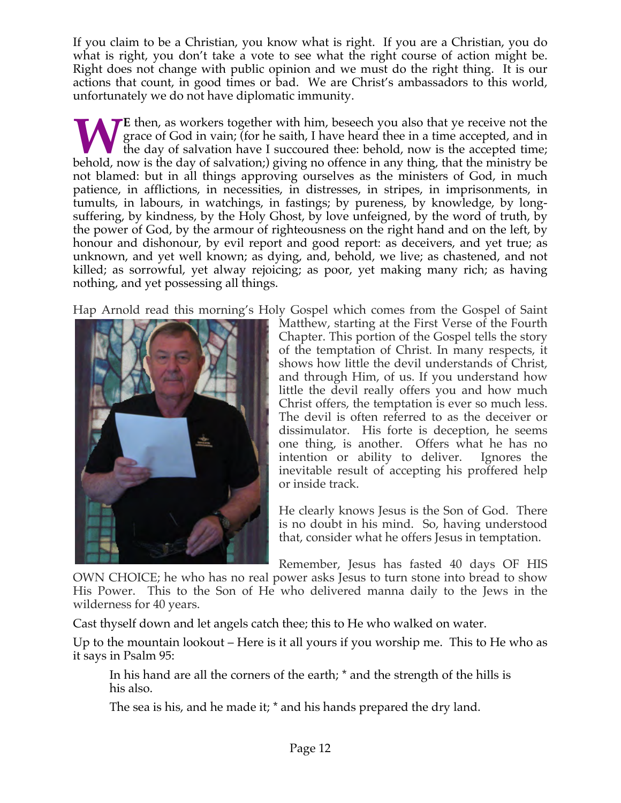If you claim to be a Christian, you know what is right. If you are a Christian, you do what is right, you don't take a vote to see what the right course of action might be. Right does not change with public opinion and we must do the right thing. It is our actions that count, in good times or bad. We are Christ's ambassadors to this world, unfortunately we do not have diplomatic immunity.

**F E** then, as workers together with him, beseech you also that ye receive not the grace of God in vain; (for he saith, I have heard thee in a time accepted, and in I the day of salvation have I succoured thee: behold, now is the accepted time; **E** then, as workers together with him, beseech you also that ye receive not the grace of God in vain; (for he saith, I have heard thee in a time accepted, and in the day of salvation have I succoured thee: behold, now is not blamed: but in all things approving ourselves as the ministers of God, in much patience, in afflictions, in necessities, in distresses, in stripes, in imprisonments, in tumults, in labours, in watchings, in fastings; by pureness, by knowledge, by longsuffering, by kindness, by the Holy Ghost, by love unfeigned, by the word of truth, by the power of God, by the armour of righteousness on the right hand and on the left, by honour and dishonour, by evil report and good report: as deceivers, and yet true; as unknown, and yet well known; as dying, and, behold, we live; as chastened, and not killed; as sorrowful, yet alway rejoicing; as poor, yet making many rich; as having nothing, and yet possessing all things.

Hap Arnold read this morning's Holy Gospel which comes from the Gospel of Saint



Matthew, starting at the First Verse of the Fourth Chapter. This portion of the Gospel tells the story of the temptation of Christ. In many respects, it shows how little the devil understands of Christ, and through Him, of us. If you understand how little the devil really offers you and how much Christ offers, the temptation is ever so much less. The devil is often referred to as the deceiver or dissimulator. His forte is deception, he seems one thing, is another. Offers what he has no intention or ability to deliver. Ignores the inevitable result of accepting his proffered help or inside track.

He clearly knows Jesus is the Son of God. There is no doubt in his mind. So, having understood that, consider what he offers Jesus in temptation.

Remember, Jesus has fasted 40 days OF HIS

OWN CHOICE; he who has no real power asks Jesus to turn stone into bread to show His Power. This to the Son of He who delivered manna daily to the Jews in the wilderness for 40 years.

Cast thyself down and let angels catch thee; this to He who walked on water.

Up to the mountain lookout – Here is it all yours if you worship me. This to He who as it says in Psalm 95:

In his hand are all the corners of the earth; \* and the strength of the hills is his also.

The sea is his, and he made it; \* and his hands prepared the dry land.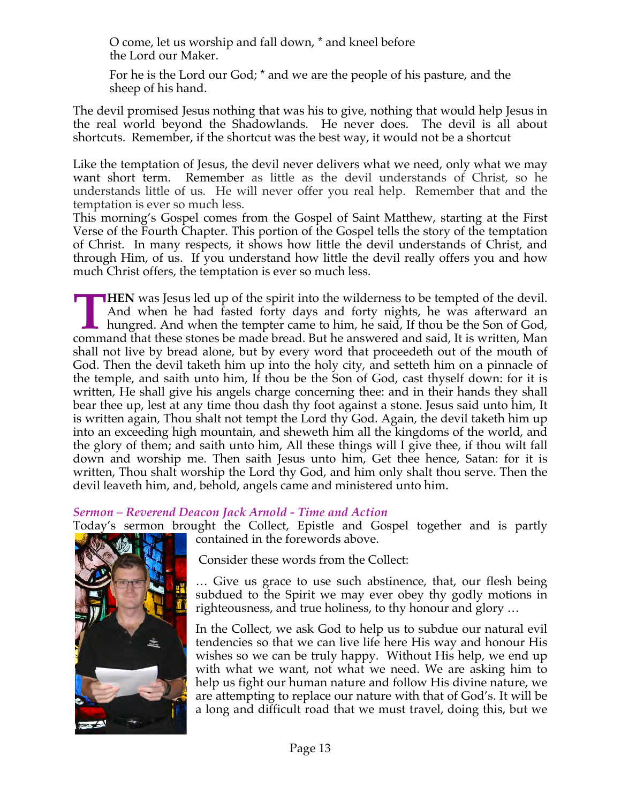O come, let us worship and fall down, \* and kneel before the Lord our Maker.

For he is the Lord our God; \* and we are the people of his pasture, and the sheep of his hand.

The devil promised Jesus nothing that was his to give, nothing that would help Jesus in the real world beyond the Shadowlands. He never does. The devil is all about shortcuts. Remember, if the shortcut was the best way, it would not be a shortcut

Like the temptation of Jesus, the devil never delivers what we need, only what we may want short term. Remember as little as the devil understands of Christ, so he understands little of us. He will never offer you real help. Remember that and the temptation is ever so much less.

This morning's Gospel comes from the Gospel of Saint Matthew, starting at the First Verse of the Fourth Chapter. This portion of the Gospel tells the story of the temptation of Christ. In many respects, it shows how little the devil understands of Christ, and through Him, of us. If you understand how little the devil really offers you and how much Christ offers, the temptation is ever so much less.

**HEN** was Jesus led up of the spirit into the wilderness to be tempted of the devil. And when he had fasted forty days and forty nights, he was afterward an I hungred. And when the tempter came to him, he said, If thou be the Son of God, **THEN** was Jesus led up of the spirit into the wilderness to be tempted of the devil.<br>And when he had fasted forty days and forty nights, he was afterward and hungred. And when the tempter came to him, he said, If thou be shall not live by bread alone, but by every word that proceedeth out of the mouth of God. Then the devil taketh him up into the holy city, and setteth him on a pinnacle of the temple, and saith unto him, If thou be the Son of God, cast thyself down: for it is written, He shall give his angels charge concerning thee: and in their hands they shall bear thee up, lest at any time thou dash thy foot against a stone. Jesus said unto him, It is written again, Thou shalt not tempt the Lord thy God. Again, the devil taketh him up into an exceeding high mountain, and sheweth him all the kingdoms of the world, and the glory of them; and saith unto him, All these things will I give thee, if thou wilt fall down and worship me. Then saith Jesus unto him, Get thee hence, Satan: for it is written, Thou shalt worship the Lord thy God, and him only shalt thou serve. Then the devil leaveth him, and, behold, angels came and ministered unto him.

#### *Sermon – Reverend Deacon Jack Arnold - Time and Action*

Today's sermon brought the Collect, Epistle and Gospel together and is partly contained in the forewords above.



Consider these words from the Collect:

… Give us grace to use such abstinence, that, our flesh being subdued to the Spirit we may ever obey thy godly motions in righteousness, and true holiness, to thy honour and glory …

In the Collect, we ask God to help us to subdue our natural evil tendencies so that we can live life here His way and honour His wishes so we can be truly happy. Without His help, we end up with what we want, not what we need. We are asking him to help us fight our human nature and follow His divine nature, we are attempting to replace our nature with that of God's. It will be a long and difficult road that we must travel, doing this, but we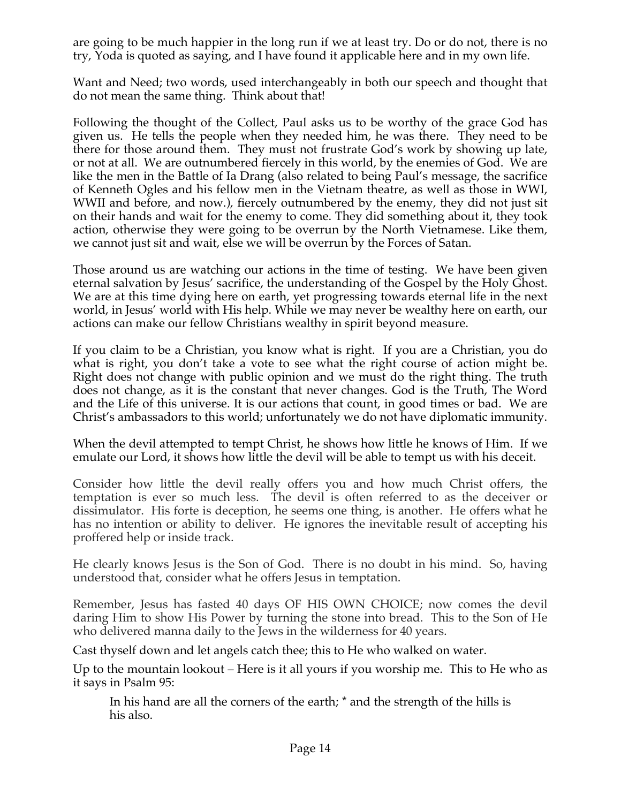are going to be much happier in the long run if we at least try. Do or do not, there is no try, Yoda is quoted as saying, and I have found it applicable here and in my own life.

Want and Need; two words, used interchangeably in both our speech and thought that do not mean the same thing. Think about that!

Following the thought of the Collect, Paul asks us to be worthy of the grace God has given us. He tells the people when they needed him, he was there. They need to be there for those around them. They must not frustrate God's work by showing up late, or not at all. We are outnumbered fiercely in this world, by the enemies of God. We are like the men in the Battle of Ia Drang (also related to being Paul's message, the sacrifice of Kenneth Ogles and his fellow men in the Vietnam theatre, as well as those in WWI, WWII and before, and now.), fiercely outnumbered by the enemy, they did not just sit on their hands and wait for the enemy to come. They did something about it, they took action, otherwise they were going to be overrun by the North Vietnamese. Like them, we cannot just sit and wait, else we will be overrun by the Forces of Satan.

Those around us are watching our actions in the time of testing. We have been given eternal salvation by Jesus' sacrifice, the understanding of the Gospel by the Holy Ghost. We are at this time dying here on earth, yet progressing towards eternal life in the next world, in Jesus' world with His help. While we may never be wealthy here on earth, our actions can make our fellow Christians wealthy in spirit beyond measure.

If you claim to be a Christian, you know what is right. If you are a Christian, you do what is right, you don't take a vote to see what the right course of action might be. Right does not change with public opinion and we must do the right thing. The truth does not change, as it is the constant that never changes. God is the Truth, The Word and the Life of this universe. It is our actions that count, in good times or bad. We are Christ's ambassadors to this world; unfortunately we do not have diplomatic immunity.

When the devil attempted to tempt Christ, he shows how little he knows of Him. If we emulate our Lord, it shows how little the devil will be able to tempt us with his deceit.

Consider how little the devil really offers you and how much Christ offers, the temptation is ever so much less. The devil is often referred to as the deceiver or dissimulator. His forte is deception, he seems one thing, is another. He offers what he has no intention or ability to deliver. He ignores the inevitable result of accepting his proffered help or inside track.

He clearly knows Jesus is the Son of God. There is no doubt in his mind. So, having understood that, consider what he offers Jesus in temptation.

Remember, Jesus has fasted 40 days OF HIS OWN CHOICE; now comes the devil daring Him to show His Power by turning the stone into bread. This to the Son of He who delivered manna daily to the Jews in the wilderness for 40 years.

Cast thyself down and let angels catch thee; this to He who walked on water.

Up to the mountain lookout – Here is it all yours if you worship me. This to He who as it says in Psalm 95:

In his hand are all the corners of the earth; \* and the strength of the hills is his also.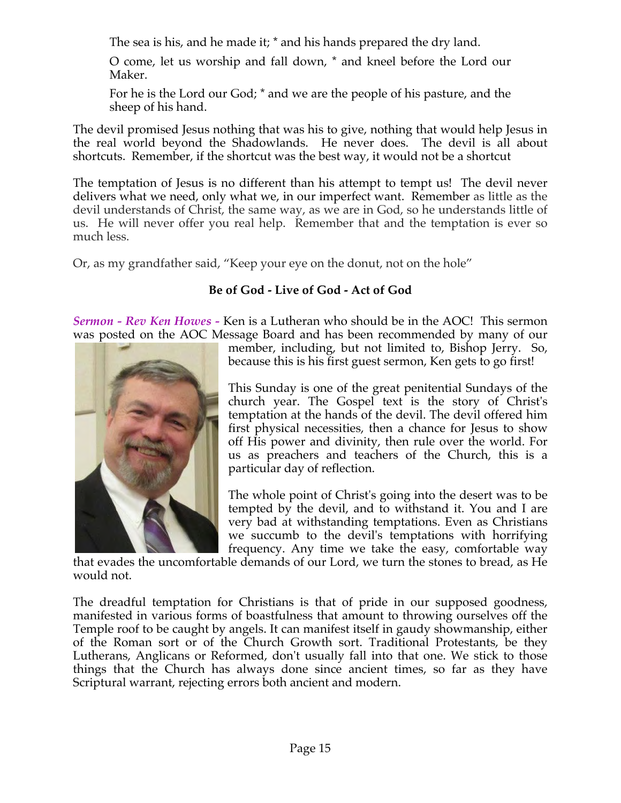The sea is his, and he made it; \* and his hands prepared the dry land.

O come, let us worship and fall down, \* and kneel before the Lord our Maker.

For he is the Lord our God; \* and we are the people of his pasture, and the sheep of his hand.

The devil promised Jesus nothing that was his to give, nothing that would help Jesus in the real world beyond the Shadowlands. He never does. The devil is all about shortcuts. Remember, if the shortcut was the best way, it would not be a shortcut

The temptation of Jesus is no different than his attempt to tempt us! The devil never delivers what we need, only what we, in our imperfect want. Remember as little as the devil understands of Christ, the same way, as we are in God, so he understands little of us. He will never offer you real help. Remember that and the temptation is ever so much less.

Or, as my grandfather said, "Keep your eye on the donut, not on the hole"

# **Be of God - Live of God - Act of God**

*Sermon - Rev Ken Howes -* Ken is a Lutheran who should be in the AOC! This sermon was posted on the AOC Message Board and has been recommended by many of our



member, including, but not limited to, Bishop Jerry. So, because this is his first guest sermon, Ken gets to go first!

This Sunday is one of the great penitential Sundays of the church year. The Gospel text is the story of Christ's temptation at the hands of the devil. The devil offered him first physical necessities, then a chance for Jesus to show off His power and divinity, then rule over the world. For us as preachers and teachers of the Church, this is a particular day of reflection.

The whole point of Christ's going into the desert was to be tempted by the devil, and to withstand it. You and I are very bad at withstanding temptations. Even as Christians we succumb to the devil's temptations with horrifying frequency. Any time we take the easy, comfortable way

that evades the uncomfortable demands of our Lord, we turn the stones to bread, as He would not.

The dreadful temptation for Christians is that of pride in our supposed goodness, manifested in various forms of boastfulness that amount to throwing ourselves off the Temple roof to be caught by angels. It can manifest itself in gaudy showmanship, either of the Roman sort or of the Church Growth sort. Traditional Protestants, be they Lutherans, Anglicans or Reformed, don't usually fall into that one. We stick to those things that the Church has always done since ancient times, so far as they have Scriptural warrant, rejecting errors both ancient and modern.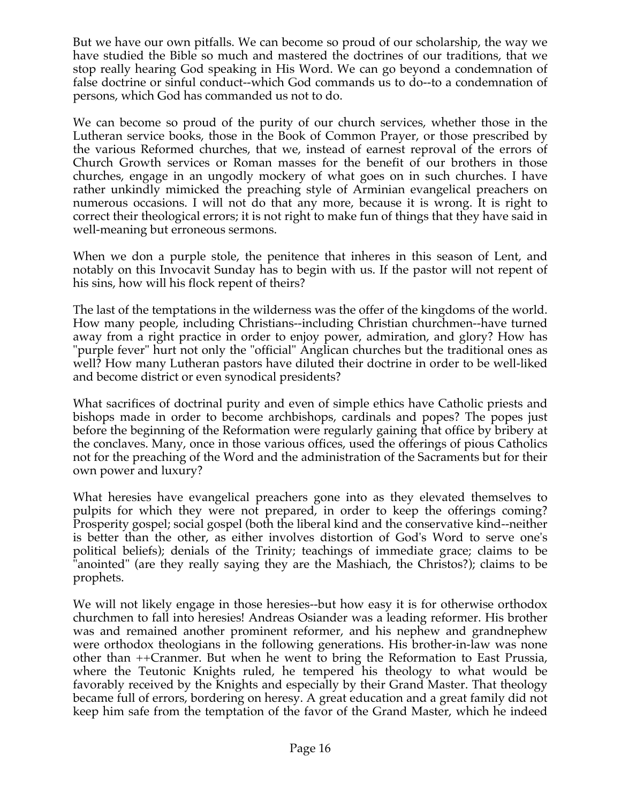But we have our own pitfalls. We can become so proud of our scholarship, the way we have studied the Bible so much and mastered the doctrines of our traditions, that we stop really hearing God speaking in His Word. We can go beyond a condemnation of false doctrine or sinful conduct--which God commands us to do--to a condemnation of persons, which God has commanded us not to do.

We can become so proud of the purity of our church services, whether those in the Lutheran service books, those in the Book of Common Prayer, or those prescribed by the various Reformed churches, that we, instead of earnest reproval of the errors of Church Growth services or Roman masses for the benefit of our brothers in those churches, engage in an ungodly mockery of what goes on in such churches. I have rather unkindly mimicked the preaching style of Arminian evangelical preachers on numerous occasions. I will not do that any more, because it is wrong. It is right to correct their theological errors; it is not right to make fun of things that they have said in well-meaning but erroneous sermons.

When we don a purple stole, the penitence that inheres in this season of Lent, and notably on this Invocavit Sunday has to begin with us. If the pastor will not repent of his sins, how will his flock repent of theirs?

The last of the temptations in the wilderness was the offer of the kingdoms of the world. How many people, including Christians--including Christian churchmen--have turned away from a right practice in order to enjoy power, admiration, and glory? How has "purple fever" hurt not only the "official" Anglican churches but the traditional ones as well? How many Lutheran pastors have diluted their doctrine in order to be well-liked and become district or even synodical presidents?

What sacrifices of doctrinal purity and even of simple ethics have Catholic priests and bishops made in order to become archbishops, cardinals and popes? The popes just before the beginning of the Reformation were regularly gaining that office by bribery at the conclaves. Many, once in those various offices, used the offerings of pious Catholics not for the preaching of the Word and the administration of the Sacraments but for their own power and luxury?

What heresies have evangelical preachers gone into as they elevated themselves to pulpits for which they were not prepared, in order to keep the offerings coming? Prosperity gospel; social gospel (both the liberal kind and the conservative kind--neither is better than the other, as either involves distortion of God's Word to serve one's political beliefs); denials of the Trinity; teachings of immediate grace; claims to be "anointed" (are they really saying they are the Mashiach, the Christos?); claims to be prophets.

We will not likely engage in those heresies--but how easy it is for otherwise orthodox churchmen to fall into heresies! Andreas Osiander was a leading reformer. His brother was and remained another prominent reformer, and his nephew and grandnephew were orthodox theologians in the following generations. His brother-in-law was none other than ++Cranmer. But when he went to bring the Reformation to East Prussia, where the Teutonic Knights ruled, he tempered his theology to what would be favorably received by the Knights and especially by their Grand Master. That theology became full of errors, bordering on heresy. A great education and a great family did not keep him safe from the temptation of the favor of the Grand Master, which he indeed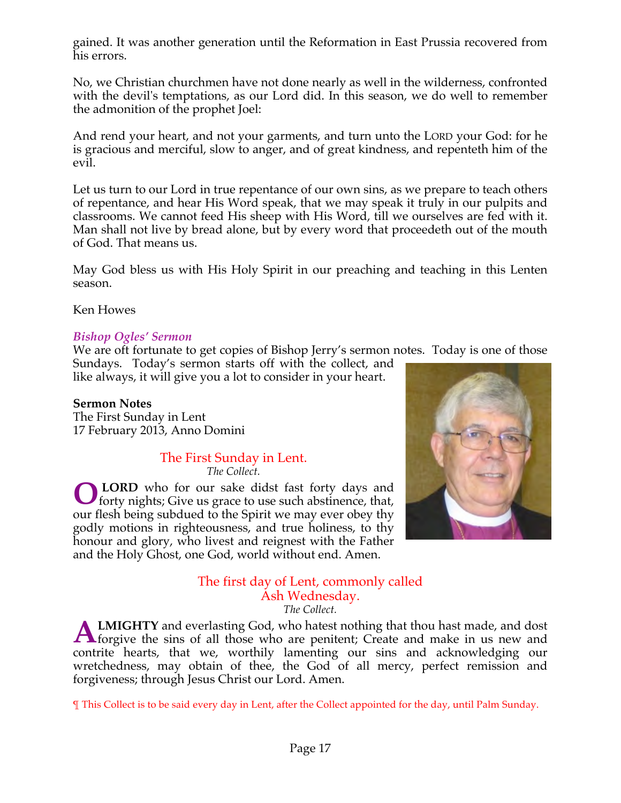gained. It was another generation until the Reformation in East Prussia recovered from his errors.

No, we Christian churchmen have not done nearly as well in the wilderness, confronted with the devil's temptations, as our Lord did. In this season, we do well to remember the admonition of the prophet Joel:

And rend your heart, and not your garments, and turn unto the LORD your God: for he is gracious and merciful, slow to anger, and of great kindness, and repenteth him of the evil.

Let us turn to our Lord in true repentance of our own sins, as we prepare to teach others of repentance, and hear His Word speak, that we may speak it truly in our pulpits and classrooms. We cannot feed His sheep with His Word, till we ourselves are fed with it. Man shall not live by bread alone, but by every word that proceedeth out of the mouth of God. That means us.

May God bless us with His Holy Spirit in our preaching and teaching in this Lenten season.

Ken Howes

# *Bishop Ogles' Sermon*

We are oft fortunate to get copies of Bishop Jerry's sermon notes. Today is one of those

Sundays. Today's sermon starts off with the collect, and like always, it will give you a lot to consider in your heart.

#### **Sermon Notes**

The First Sunday in Lent 17 February 2013, Anno Domini

#### The First Sunday in Lent. *The Collect.*

 **LORD** who for our sake didst fast forty days and forty nights; Give us grace to use such abstinence, that, our flesh being subdued to the Spirit we may ever obey thy godly motions in righteousness, and true holiness, to thy honour and glory, who livest and reignest with the Father and the Holy Ghost, one God, world without end. Amen. **O**



#### The first day of Lent, commonly called Ash Wednesday. *The Collect.*

**LMIGHTY** and everlasting God, who hatest nothing that thou hast made, and dost **ALMIGHTY** and everlasting God, who hatest nothing that thou hast made, and dost forgive the sins of all those who are penitent; Create and make in us new and contrite hearts, that we, worthily lamenting our sins and acknowledging our wretchedness, may obtain of thee, the God of all mercy, perfect remission and forgiveness; through Jesus Christ our Lord. Amen.

¶ This Collect is to be said every day in Lent, after the Collect appointed for the day, until Palm Sunday.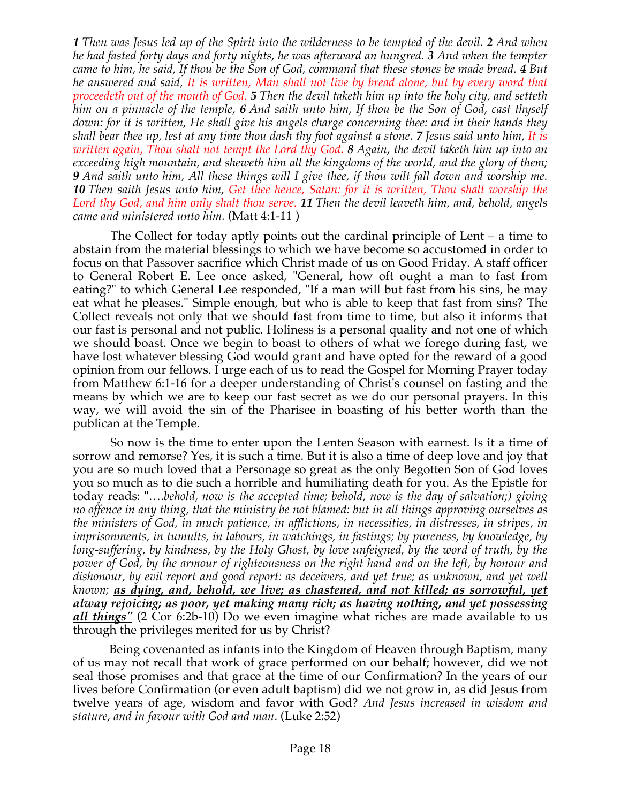**1** Then was Jesus led up of the Spirit into the wilderness to be tempted of the devil. **2** And when *he had fasted forty days and forty nights, he was afterward an hungred. 3 And when the tempter came to him, he said, If thou be the Son of God, command that these stones be made bread. 4 But he answered and said, It is written, Man shall not live by bread alone, but by every word that proceedeth out of the mouth of God. 5 Then the devil taketh him up into the holy city, and setteth him on a pinnacle of the temple, 6 And saith unto him, If thou be the Son of God, cast thyself*  down: for it is written, He shall give his angels charge concerning thee: and in their hands they *shall bear thee up, lest at any time thou dash thy foot against a stone. 7 Jesus said unto him, It is written again, Thou shalt not tempt the Lord thy God. 8 Again, the devil taketh him up into an exceeding high mountain, and sheweth him all the kingdoms of the world, and the glory of them; 9 And saith unto him, All these things will I give thee, if thou wilt fall down and worship me. 10 Then saith Jesus unto him, Get thee hence, Satan: for it is written, Thou shalt worship the Lord thy God, and him only shalt thou serve. 11 Then the devil leaveth him, and, behold, angels came and ministered unto him.* (Matt 4:1-11 )

 The Collect for today aptly points out the cardinal principle of Lent – a time to abstain from the material blessings to which we have become so accustomed in order to focus on that Passover sacrifice which Christ made of us on Good Friday. A staff officer to General Robert E. Lee once asked, "General, how oft ought a man to fast from eating?" to which General Lee responded, "If a man will but fast from his sins, he may eat what he pleases." Simple enough, but who is able to keep that fast from sins? The Collect reveals not only that we should fast from time to time, but also it informs that our fast is personal and not public. Holiness is a personal quality and not one of which we should boast. Once we begin to boast to others of what we forego during fast, we have lost whatever blessing God would grant and have opted for the reward of a good opinion from our fellows. I urge each of us to read the Gospel for Morning Prayer today from Matthew 6:1-16 for a deeper understanding of Christ's counsel on fasting and the means by which we are to keep our fast secret as we do our personal prayers. In this way, we will avoid the sin of the Pharisee in boasting of his better worth than the publican at the Temple.

 So now is the time to enter upon the Lenten Season with earnest. Is it a time of sorrow and remorse? Yes, it is such a time. But it is also a time of deep love and joy that you are so much loved that a Personage so great as the only Begotten Son of God loves you so much as to die such a horrible and humiliating death for you. As the Epistle for today reads: "….*behold, now is the accepted time; behold, now is the day of salvation;) giving no offence in any thing, that the ministry be not blamed: but in all things approving ourselves as the ministers of God, in much patience, in afflictions, in necessities, in distresses, in stripes, in imprisonments, in tumults, in labours, in watchings, in fastings; by pureness, by knowledge, by long-suffering, by kindness, by the Holy Ghost, by love unfeigned, by the word of truth, by the power of God, by the armour of righteousness on the right hand and on the left, by honour and dishonour, by evil report and good report: as deceivers, and yet true; as unknown, and yet well known; as dying, and, behold, we live; as chastened, and not killed; as sorrowful, yet alway rejoicing; as poor, yet making many rich; as having nothing, and yet possessing all things"* (2 Cor 6:2b-10) Do we even imagine what riches are made available to us through the privileges merited for us by Christ?

 Being covenanted as infants into the Kingdom of Heaven through Baptism, many of us may not recall that work of grace performed on our behalf; however, did we not seal those promises and that grace at the time of our Confirmation? In the years of our lives before Confirmation (or even adult baptism) did we not grow in, as did Jesus from twelve years of age, wisdom and favor with God? *And Jesus increased in wisdom and stature, and in favour with God and man*. (Luke 2:52)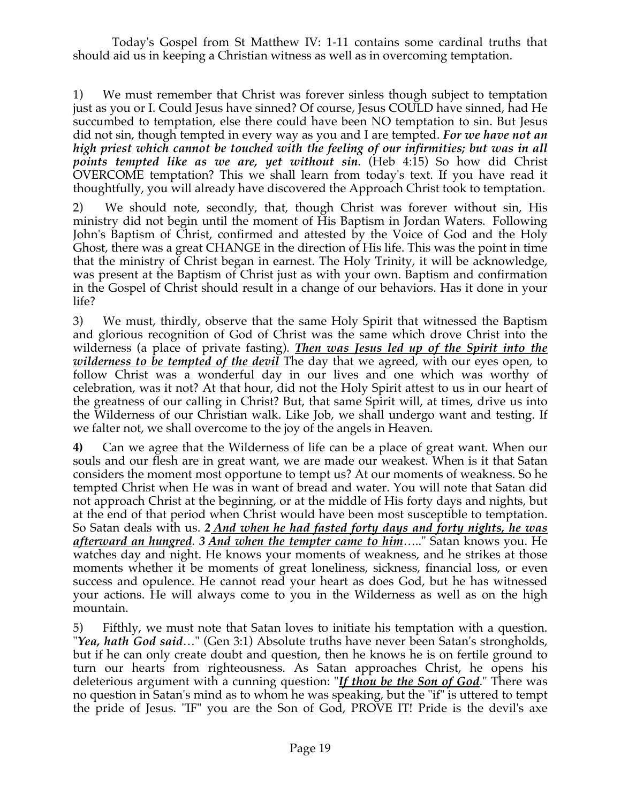Today's Gospel from St Matthew IV: 1-11 contains some cardinal truths that should aid us in keeping a Christian witness as well as in overcoming temptation.

1) We must remember that Christ was forever sinless though subject to temptation just as you or I. Could Jesus have sinned? Of course, Jesus COULD have sinned, had He succumbed to temptation, else there could have been NO temptation to sin. But Jesus did not sin, though tempted in every way as you and I are tempted. *For we have not an high priest which cannot be touched with the feeling of our infirmities; but was in all points tempted like as we are, yet without sin*. (Heb 4:15) So how did Christ OVERCOME temptation? This we shall learn from today's text. If you have read it thoughtfully, you will already have discovered the Approach Christ took to temptation.

2) We should note, secondly, that, though Christ was forever without sin, His ministry did not begin until the moment of His Baptism in Jordan Waters. Following John's Baptism of Christ, confirmed and attested by the Voice of God and the Holy Ghost, there was a great CHANGE in the direction of His life. This was the point in time that the ministry of Christ began in earnest. The Holy Trinity, it will be acknowledge, was present at the Baptism of Christ just as with your own. Baptism and confirmation in the Gospel of Christ should result in a change of our behaviors. Has it done in your life?

3) We must, thirdly, observe that the same Holy Spirit that witnessed the Baptism and glorious recognition of God of Christ was the same which drove Christ into the wilderness (a place of private fasting). *Then was Jesus led up of the Spirit into the wilderness to be tempted of the devil* The day that we agreed, with our eyes open, to follow Christ was a wonderful day in our lives and one which was worthy of celebration, was it not? At that hour, did not the Holy Spirit attest to us in our heart of the greatness of our calling in Christ? But, that same Spirit will, at times, drive us into the Wilderness of our Christian walk. Like Job, we shall undergo want and testing. If we falter not, we shall overcome to the joy of the angels in Heaven.

**4)** Can we agree that the Wilderness of life can be a place of great want. When our souls and our flesh are in great want, we are made our weakest. When is it that Satan considers the moment most opportune to tempt us? At our moments of weakness. So he tempted Christ when He was in want of bread and water. You will note that Satan did not approach Christ at the beginning, or at the middle of His forty days and nights, but at the end of that period when Christ would have been most susceptible to temptation. So Satan deals with us. *2 And when he had fasted forty days and forty nights, he was afterward an hungred. 3 And when the tempter came to him*….." Satan knows you. He watches day and night. He knows your moments of weakness, and he strikes at those moments whether it be moments of great loneliness, sickness, financial loss, or even success and opulence. He cannot read your heart as does God, but he has witnessed your actions. He will always come to you in the Wilderness as well as on the high mountain.

Fifthly, we must note that Satan loves to initiate his temptation with a question. "*Yea, hath God said*…" (Gen 3:1) Absolute truths have never been Satan's strongholds, but if he can only create doubt and question, then he knows he is on fertile ground to turn our hearts from righteousness. As Satan approaches Christ, he opens his deleterious argument with a cunning question: "*If thou be the Son of God*." There was no question in Satan's mind as to whom he was speaking, but the "if" is uttered to tempt the pride of Jesus. "IF" you are the Son of God, PROVE IT! Pride is the devil's axe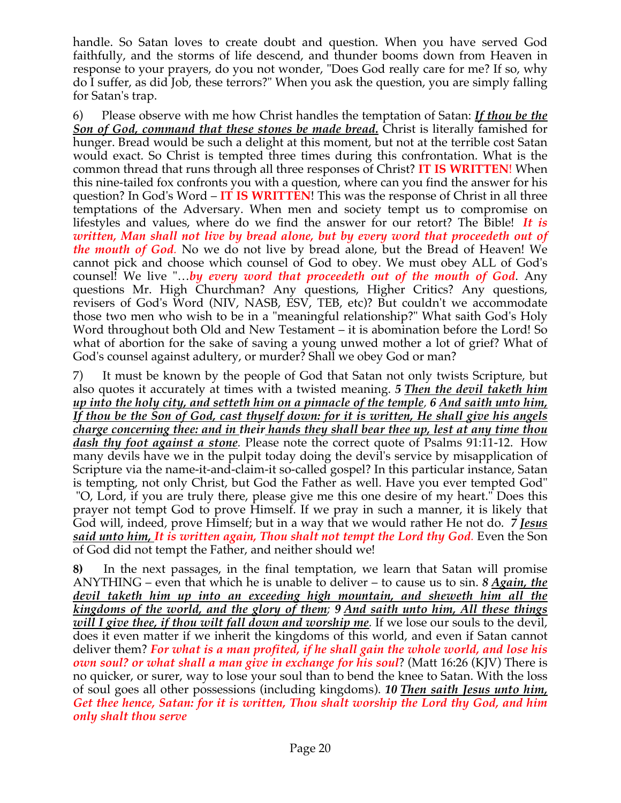handle. So Satan loves to create doubt and question. When you have served God faithfully, and the storms of life descend, and thunder booms down from Heaven in response to your prayers, do you not wonder, "Does God really care for me? If so, why do I suffer, as did Job, these terrors?" When you ask the question, you are simply falling for Satan's trap.

6) Please observe with me how Christ handles the temptation of Satan: *If thou be the Son of God, command that these stones be made bread.* Christ is literally famished for hunger. Bread would be such a delight at this moment, but not at the terrible cost Satan would exact. So Christ is tempted three times during this confrontation. What is the common thread that runs through all three responses of Christ? **IT IS WRITTEN**! When this nine-tailed fox confronts you with a question, where can you find the answer for his question? In God's Word – **IT IS WRITTEN**! This was the response of Christ in all three temptations of the Adversary. When men and society tempt us to compromise on lifestyles and values, where do we find the answer for our retort? The Bible! *It is written, Man shall not live by bread alone, but by every word that proceedeth out of the mouth of God.* No we do not live by bread alone, but the Bread of Heaven! We cannot pick and choose which counsel of God to obey. We must obey ALL of God's counsel! We live "…*by every word that proceedeth out of the mouth of God*. Any questions Mr. High Churchman? Any questions, Higher Critics? Any questions, revisers of God's Word (NIV, NASB, ESV, TEB, etc)? But couldn't we accommodate those two men who wish to be in a "meaningful relationship?" What saith God's Holy Word throughout both Old and New Testament – it is abomination before the Lord! So what of abortion for the sake of saving a young unwed mother a lot of grief? What of God's counsel against adultery, or murder? Shall we obey God or man?

7) It must be known by the people of God that Satan not only twists Scripture, but also quotes it accurately at times with a twisted meaning. *5 Then the devil taketh him up into the holy city, and setteth him on a pinnacle of the temple, 6 And saith unto him, If thou be the Son of God, cast thyself down: for it is written, He shall give his angels charge concerning thee: and in their hands they shall bear thee up, lest at any time thou dash thy foot against a stone.* Please note the correct quote of Psalms 91:11-12. How many devils have we in the pulpit today doing the devil's service by misapplication of Scripture via the name-it-and-claim-it so-called gospel? In this particular instance, Satan is tempting, not only Christ, but God the Father as well. Have you ever tempted God" "O, Lord, if you are truly there, please give me this one desire of my heart." Does this prayer not tempt God to prove Himself. If we pray in such a manner, it is likely that God will, indeed, prove Himself; but in a way that we would rather He not do. *7 Jesus said unto him, It is written again, Thou shalt not tempt the Lord thy God.* Even the Son of God did not tempt the Father, and neither should we!

**8)** In the next passages, in the final temptation, we learn that Satan will promise ANYTHING – even that which he is unable to deliver – to cause us to sin. *8 Again, the devil taketh him up into an exceeding high mountain, and sheweth him all the kingdoms of the world, and the glory of them; 9 And saith unto him, All these things will I give thee, if thou wilt fall down and worship me.* If we lose our souls to the devil, does it even matter if we inherit the kingdoms of this world, and even if Satan cannot deliver them? *For what is a man profited, if he shall gain the whole world, and lose his own soul? or what shall a man give in exchange for his soul*? (Matt 16:26 (KJV) There is no quicker, or surer, way to lose your soul than to bend the knee to Satan. With the loss of soul goes all other possessions (including kingdoms). *10 Then saith Jesus unto him, Get thee hence, Satan: for it is written, Thou shalt worship the Lord thy God, and him only shalt thou serve*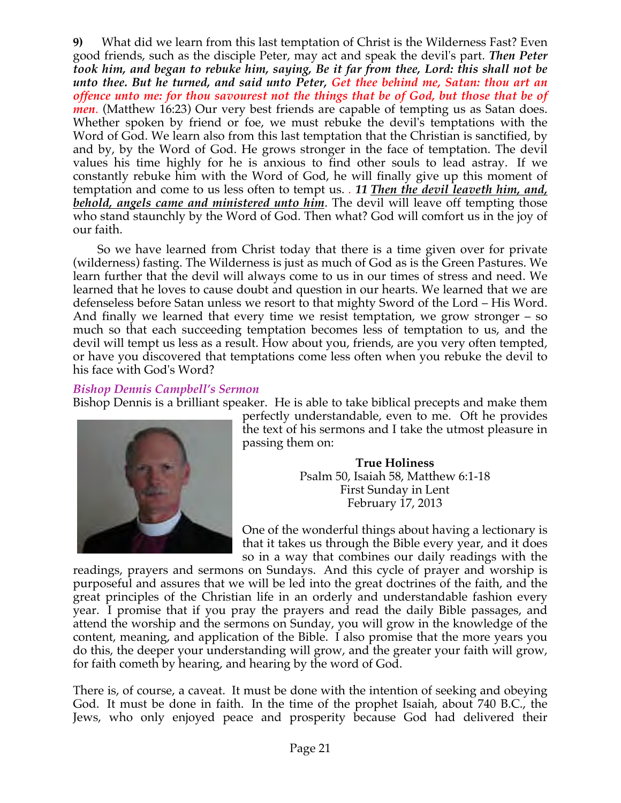**9)** What did we learn from this last temptation of Christ is the Wilderness Fast? Even good friends, such as the disciple Peter, may act and speak the devil's part. *Then Peter took him, and began to rebuke him, saying, Be it far from thee, Lord: this shall not be unto thee. But he turned, and said unto Peter, Get thee behind me, Satan: thou art an offence unto me: for thou savourest not the things that be of God, but those that be of men*. (Matthew 16:23) Our very best friends are capable of tempting us as Satan does. Whether spoken by friend or foe, we must rebuke the devil's temptations with the Word of God. We learn also from this last temptation that the Christian is sanctified, by and by, by the Word of God. He grows stronger in the face of temptation. The devil values his time highly for he is anxious to find other souls to lead astray. If we constantly rebuke him with the Word of God, he will finally give up this moment of temptation and come to us less often to tempt us. *. 11 Then the devil leaveth him, and, behold, angels came and ministered unto him*. The devil will leave off tempting those who stand staunchly by the Word of God. Then what? God will comfort us in the joy of our faith.

So we have learned from Christ today that there is a time given over for private (wilderness) fasting. The Wilderness is just as much of God as is the Green Pastures. We learn further that the devil will always come to us in our times of stress and need. We learned that he loves to cause doubt and question in our hearts. We learned that we are defenseless before Satan unless we resort to that mighty Sword of the Lord – His Word. And finally we learned that every time we resist temptation, we grow stronger – so much so that each succeeding temptation becomes less of temptation to us, and the devil will tempt us less as a result. How about you, friends, are you very often tempted, or have you discovered that temptations come less often when you rebuke the devil to his face with God's Word?

#### *Bishop Dennis Campbell's Sermon*

Bishop Dennis is a brilliant speaker. He is able to take biblical precepts and make them



perfectly understandable, even to me. Oft he provides the text of his sermons and I take the utmost pleasure in passing them on:

> **True Holiness** Psalm 50, Isaiah 58, Matthew 6:1-18 First Sunday in Lent February 17, 2013

One of the wonderful things about having a lectionary is that it takes us through the Bible every year, and it does so in a way that combines our daily readings with the

readings, prayers and sermons on Sundays. And this cycle of prayer and worship is purposeful and assures that we will be led into the great doctrines of the faith, and the great principles of the Christian life in an orderly and understandable fashion every year. I promise that if you pray the prayers and read the daily Bible passages, and attend the worship and the sermons on Sunday, you will grow in the knowledge of the content, meaning, and application of the Bible. I also promise that the more years you do this, the deeper your understanding will grow, and the greater your faith will grow, for faith cometh by hearing, and hearing by the word of God.

There is, of course, a caveat. It must be done with the intention of seeking and obeying God. It must be done in faith. In the time of the prophet Isaiah, about 740 B.C., the Jews, who only enjoyed peace and prosperity because God had delivered their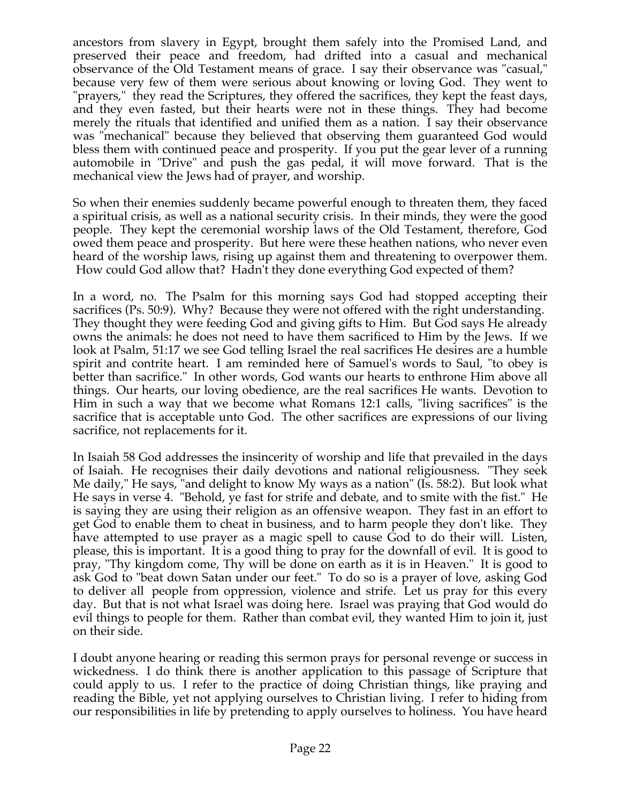ancestors from slavery in Egypt, brought them safely into the Promised Land, and preserved their peace and freedom, had drifted into a casual and mechanical observance of the Old Testament means of grace. I say their observance was "casual," because very few of them were serious about knowing or loving God. They went to "prayers," they read the Scriptures, they offered the sacrifices, they kept the feast days, and they even fasted, but their hearts were not in these things. They had become merely the rituals that identified and unified them as a nation. I say their observance was "mechanical" because they believed that observing them guaranteed God would bless them with continued peace and prosperity. If you put the gear lever of a running automobile in "Drive" and push the gas pedal, it will move forward. That is the mechanical view the Jews had of prayer, and worship.

So when their enemies suddenly became powerful enough to threaten them, they faced a spiritual crisis, as well as a national security crisis. In their minds, they were the good people. They kept the ceremonial worship laws of the Old Testament, therefore, God owed them peace and prosperity. But here were these heathen nations, who never even heard of the worship laws, rising up against them and threatening to overpower them. How could God allow that? Hadn't they done everything God expected of them?

In a word, no. The Psalm for this morning says God had stopped accepting their sacrifices (Ps. 50:9). Why? Because they were not offered with the right understanding. They thought they were feeding God and giving gifts to Him. But God says He already owns the animals: he does not need to have them sacrificed to Him by the Jews. If we look at Psalm, 51:17 we see God telling Israel the real sacrifices He desires are a humble spirit and contrite heart. I am reminded here of Samuel's words to Saul, "to obey is better than sacrifice." In other words, God wants our hearts to enthrone Him above all things. Our hearts, our loving obedience, are the real sacrifices He wants. Devotion to Him in such a way that we become what Romans 12:1 calls, "living sacrifices" is the sacrifice that is acceptable unto God. The other sacrifices are expressions of our living sacrifice, not replacements for it.

In Isaiah 58 God addresses the insincerity of worship and life that prevailed in the days of Isaiah. He recognises their daily devotions and national religiousness. "They seek Me daily," He says, "and delight to know My ways as a nation" (Is. 58:2). But look what He says in verse 4. "Behold, ye fast for strife and debate, and to smite with the fist." He is saying they are using their religion as an offensive weapon. They fast in an effort to get God to enable them to cheat in business, and to harm people they don't like. They have attempted to use prayer as a magic spell to cause God to do their will. Listen, please, this is important. It is a good thing to pray for the downfall of evil. It is good to pray, "Thy kingdom come, Thy will be done on earth as it is in Heaven." It is good to ask God to "beat down Satan under our feet." To do so is a prayer of love, asking God to deliver all people from oppression, violence and strife. Let us pray for this every day. But that is not what Israel was doing here. Israel was praying that God would do evil things to people for them. Rather than combat evil, they wanted Him to join it, just on their side.

I doubt anyone hearing or reading this sermon prays for personal revenge or success in wickedness. I do think there is another application to this passage of Scripture that could apply to us. I refer to the practice of doing Christian things, like praying and reading the Bible, yet not applying ourselves to Christian living. I refer to hiding from our responsibilities in life by pretending to apply ourselves to holiness. You have heard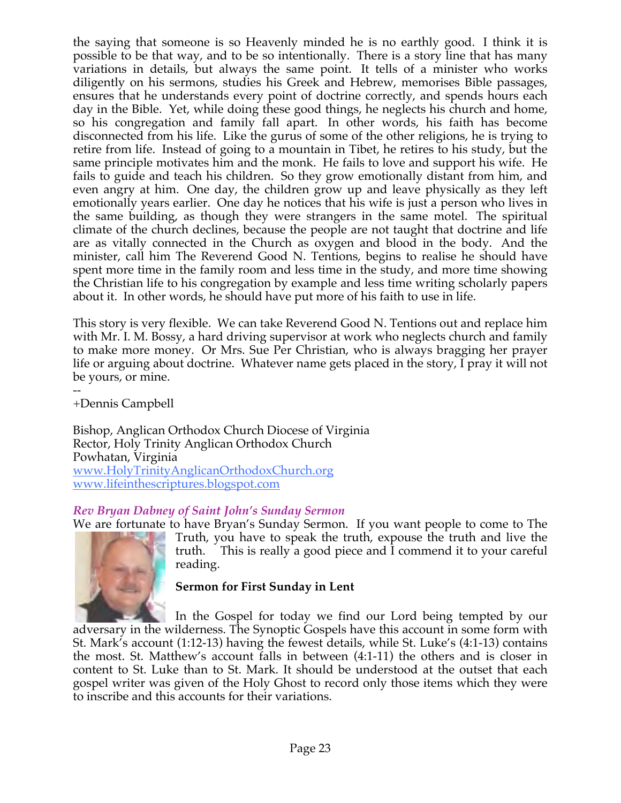the saying that someone is so Heavenly minded he is no earthly good. I think it is possible to be that way, and to be so intentionally. There is a story line that has many variations in details, but always the same point. It tells of a minister who works diligently on his sermons, studies his Greek and Hebrew, memorises Bible passages, ensures that he understands every point of doctrine correctly, and spends hours each day in the Bible. Yet, while doing these good things, he neglects his church and home, so his congregation and family fall apart. In other words, his faith has become disconnected from his life. Like the gurus of some of the other religions, he is trying to retire from life. Instead of going to a mountain in Tibet, he retires to his study, but the same principle motivates him and the monk. He fails to love and support his wife. He fails to guide and teach his children. So they grow emotionally distant from him, and even angry at him. One day, the children grow up and leave physically as they left emotionally years earlier. One day he notices that his wife is just a person who lives in the same building, as though they were strangers in the same motel. The spiritual climate of the church declines, because the people are not taught that doctrine and life are as vitally connected in the Church as oxygen and blood in the body. And the minister, call him The Reverend Good N. Tentions, begins to realise he should have spent more time in the family room and less time in the study, and more time showing the Christian life to his congregation by example and less time writing scholarly papers about it. In other words, he should have put more of his faith to use in life.

This story is very flexible. We can take Reverend Good N. Tentions out and replace him with Mr. I. M. Bossy, a hard driving supervisor at work who neglects church and family to make more money. Or Mrs. Sue Per Christian, who is always bragging her prayer life or arguing about doctrine. Whatever name gets placed in the story, I pray it will not be yours, or mine.

-- +Dennis Campbell

Bishop, Anglican Orthodox Church Diocese of Virginia Rector, Holy Trinity Anglican Orthodox Church Powhatan, Virginia www.HolyTrinityAnglicanOrthodoxChurch.org www.lifeinthescriptures.blogspot.com

# *Rev Bryan Dabney of Saint John's Sunday Sermon*

We are fortunate to have Bryan's Sunday Sermon. If you want people to come to The



Truth, you have to speak the truth, expouse the truth and live the truth. This is really a good piece and I commend it to your careful reading.

#### **Sermon for First Sunday in Lent**

In the Gospel for today we find our Lord being tempted by our adversary in the wilderness. The Synoptic Gospels have this account in some form with St. Mark's account (1:12-13) having the fewest details, while St. Luke's (4:1-13) contains the most. St. Matthew's account falls in between (4:1-11) the others and is closer in content to St. Luke than to St. Mark. It should be understood at the outset that each gospel writer was given of the Holy Ghost to record only those items which they were to inscribe and this accounts for their variations.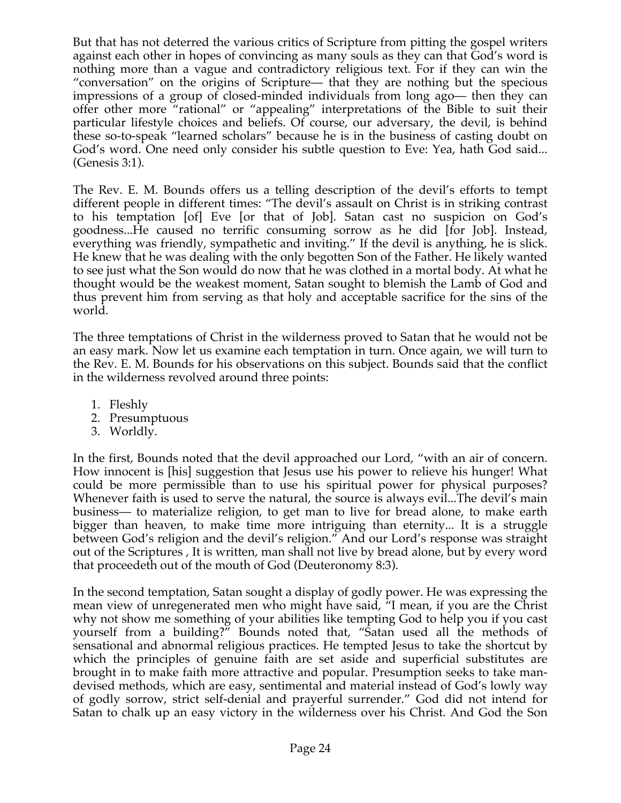But that has not deterred the various critics of Scripture from pitting the gospel writers against each other in hopes of convincing as many souls as they can that God's word is nothing more than a vague and contradictory religious text. For if they can win the "conversation" on the origins of Scripture— that they are nothing but the specious impressions of a group of closed-minded individuals from long ago— then they can offer other more "rational" or "appealing" interpretations of the Bible to suit their particular lifestyle choices and beliefs. Of course, our adversary, the devil, is behind these so-to-speak "learned scholars" because he is in the business of casting doubt on God's word. One need only consider his subtle question to Eve: Yea, hath God said... (Genesis 3:1).

The Rev. E. M. Bounds offers us a telling description of the devil's efforts to tempt different people in different times: "The devil's assault on Christ is in striking contrast to his temptation [of] Eve [or that of Job]. Satan cast no suspicion on God's goodness...He caused no terrific consuming sorrow as he did [for Job]. Instead, everything was friendly, sympathetic and inviting." If the devil is anything, he is slick. He knew that he was dealing with the only begotten Son of the Father. He likely wanted to see just what the Son would do now that he was clothed in a mortal body. At what he thought would be the weakest moment, Satan sought to blemish the Lamb of God and thus prevent him from serving as that holy and acceptable sacrifice for the sins of the world.

The three temptations of Christ in the wilderness proved to Satan that he would not be an easy mark. Now let us examine each temptation in turn. Once again, we will turn to the Rev. E. M. Bounds for his observations on this subject. Bounds said that the conflict in the wilderness revolved around three points:

- 1. Fleshly
- 2. Presumptuous
- 3. Worldly.

In the first, Bounds noted that the devil approached our Lord, "with an air of concern. How innocent is [his] suggestion that Jesus use his power to relieve his hunger! What could be more permissible than to use his spiritual power for physical purposes? Whenever faith is used to serve the natural, the source is always evil...The devil's main business— to materialize religion, to get man to live for bread alone, to make earth bigger than heaven, to make time more intriguing than eternity... It is a struggle between God's religion and the devil's religion." And our Lord's response was straight out of the Scriptures , It is written, man shall not live by bread alone, but by every word that proceedeth out of the mouth of God (Deuteronomy 8:3).

In the second temptation, Satan sought a display of godly power. He was expressing the mean view of unregenerated men who might have said, "I mean, if you are the Christ why not show me something of your abilities like tempting God to help you if you cast yourself from a building?" Bounds noted that, "Satan used all the methods of sensational and abnormal religious practices. He tempted Jesus to take the shortcut by which the principles of genuine faith are set aside and superficial substitutes are brought in to make faith more attractive and popular. Presumption seeks to take mandevised methods, which are easy, sentimental and material instead of God's lowly way of godly sorrow, strict self-denial and prayerful surrender." God did not intend for Satan to chalk up an easy victory in the wilderness over his Christ. And God the Son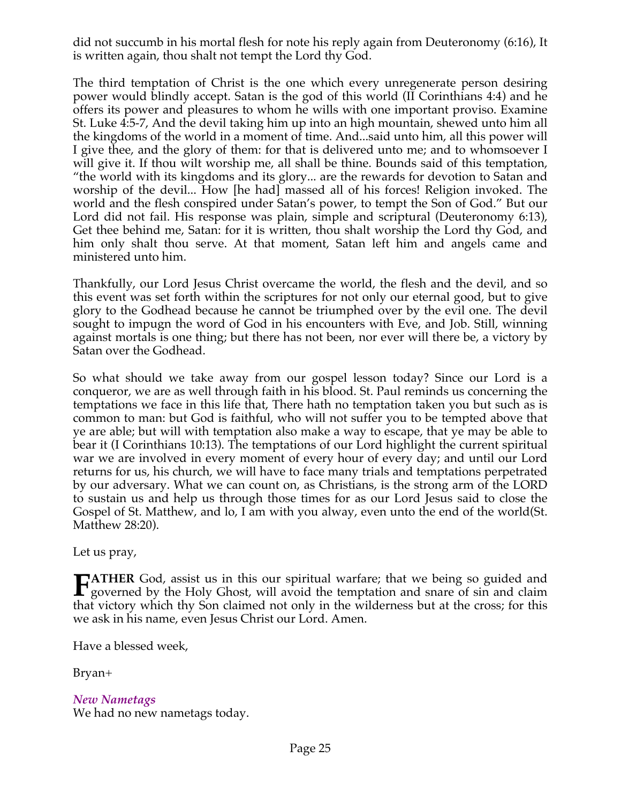did not succumb in his mortal flesh for note his reply again from Deuteronomy (6:16), It is written again, thou shalt not tempt the Lord thy God.

The third temptation of Christ is the one which every unregenerate person desiring power would blindly accept. Satan is the god of this world (II Corinthians 4:4) and he offers its power and pleasures to whom he wills with one important proviso. Examine St. Luke 4:5-7, And the devil taking him up into an high mountain, shewed unto him all the kingdoms of the world in a moment of time. And...said unto him, all this power will I give thee, and the glory of them: for that is delivered unto me; and to whomsoever I will give it. If thou wilt worship me, all shall be thine. Bounds said of this temptation, "the world with its kingdoms and its glory... are the rewards for devotion to Satan and worship of the devil... How [he had] massed all of his forces! Religion invoked. The world and the flesh conspired under Satan's power, to tempt the Son of God." But our Lord did not fail. His response was plain, simple and scriptural (Deuteronomy 6:13), Get thee behind me, Satan: for it is written, thou shalt worship the Lord thy God, and him only shalt thou serve. At that moment, Satan left him and angels came and ministered unto him.

Thankfully, our Lord Jesus Christ overcame the world, the flesh and the devil, and so this event was set forth within the scriptures for not only our eternal good, but to give glory to the Godhead because he cannot be triumphed over by the evil one. The devil sought to impugn the word of God in his encounters with Eve, and Job. Still, winning against mortals is one thing; but there has not been, nor ever will there be, a victory by Satan over the Godhead.

So what should we take away from our gospel lesson today? Since our Lord is a conqueror, we are as well through faith in his blood. St. Paul reminds us concerning the temptations we face in this life that, There hath no temptation taken you but such as is common to man: but God is faithful, who will not suffer you to be tempted above that ye are able; but will with temptation also make a way to escape, that ye may be able to bear it (I Corinthians 10:13). The temptations of our Lord highlight the current spiritual war we are involved in every moment of every hour of every day; and until our Lord returns for us, his church, we will have to face many trials and temptations perpetrated by our adversary. What we can count on, as Christians, is the strong arm of the LORD to sustain us and help us through those times for as our Lord Jesus said to close the Gospel of St. Matthew, and lo, I am with you alway, even unto the end of the world(St. Matthew 28:20).

Let us pray,

**ATHER** God, assist us in this our spiritual warfare; that we being so guided and **FATHER** God, assist us in this our spiritual warfare; that we being so guided and governed by the Holy Ghost, will avoid the temptation and snare of sin and claim that victory which thy Son claimed not only in the wilderness but at the cross; for this we ask in his name, even Jesus Christ our Lord. Amen.

Have a blessed week,

Bryan+

*New Nametags* We had no new nametags today.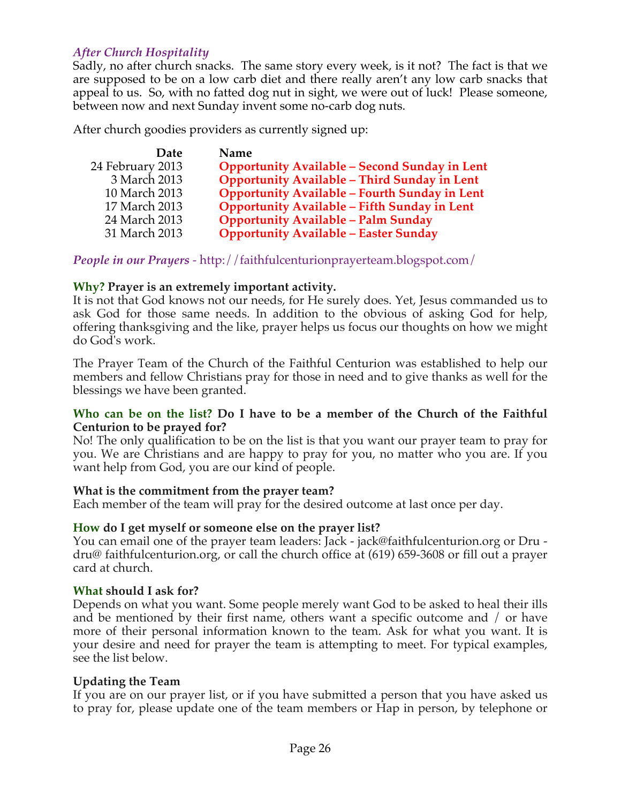# *After Church Hospitality*

Sadly, no after church snacks. The same story every week, is it not? The fact is that we are supposed to be on a low carb diet and there really aren't any low carb snacks that appeal to us. So, with no fatted dog nut in sight, we were out of luck! Please someone, between now and next Sunday invent some no-carb dog nuts.

After church goodies providers as currently signed up:

| <b>Date</b>      | <b>Name</b>                                          |
|------------------|------------------------------------------------------|
| 24 February 2013 | <b>Opportunity Available - Second Sunday in Lent</b> |
| 3 March 2013     | <b>Opportunity Available - Third Sunday in Lent</b>  |
| 10 March 2013    | <b>Opportunity Available - Fourth Sunday in Lent</b> |
| 17 March 2013    | <b>Opportunity Available - Fifth Sunday in Lent</b>  |
| 24 March 2013    | <b>Opportunity Available - Palm Sunday</b>           |
| 31 March 2013    | <b>Opportunity Available - Easter Sunday</b>         |

*People in our Prayers* - http://faithfulcenturionprayerteam.blogspot.com/

# **Why? Prayer is an extremely important activity.**

It is not that God knows not our needs, for He surely does. Yet, Jesus commanded us to ask God for those same needs. In addition to the obvious of asking God for help, offering thanksgiving and the like, prayer helps us focus our thoughts on how we might do God's work.

The Prayer Team of the Church of the Faithful Centurion was established to help our members and fellow Christians pray for those in need and to give thanks as well for the blessings we have been granted.

#### **Who can be on the list? Do I have to be a member of the Church of the Faithful Centurion to be prayed for?**

No! The only qualification to be on the list is that you want our prayer team to pray for you. We are Christians and are happy to pray for you, no matter who you are. If you want help from God, you are our kind of people.

#### **What is the commitment from the prayer team?**

Each member of the team will pray for the desired outcome at last once per day.

# **How do I get myself or someone else on the prayer list?**

You can email one of the prayer team leaders: Jack - jack@faithfulcenturion.org or Dru dru@ faithfulcenturion.org, or call the church office at (619) 659-3608 or fill out a prayer card at church.

#### **What should I ask for?**

Depends on what you want. Some people merely want God to be asked to heal their ills and be mentioned by their first name, others want a specific outcome and / or have more of their personal information known to the team. Ask for what you want. It is your desire and need for prayer the team is attempting to meet. For typical examples, see the list below.

#### **Updating the Team**

If you are on our prayer list, or if you have submitted a person that you have asked us to pray for, please update one of the team members or Hap in person, by telephone or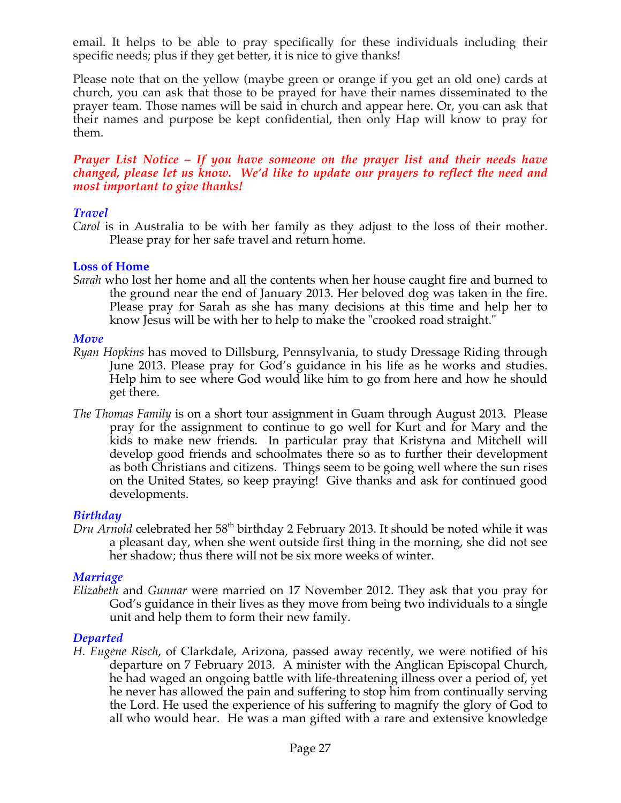email. It helps to be able to pray specifically for these individuals including their specific needs; plus if they get better, it is nice to give thanks!

Please note that on the yellow (maybe green or orange if you get an old one) cards at church, you can ask that those to be prayed for have their names disseminated to the prayer team. Those names will be said in church and appear here. Or, you can ask that their names and purpose be kept confidential, then only Hap will know to pray for them.

#### *Prayer List Notice – If you have someone on the prayer list and their needs have changed, please let us know. We'd like to update our prayers to reflect the need and most important to give thanks!*

# *Travel*

*Carol* is in Australia to be with her family as they adjust to the loss of their mother. Please pray for her safe travel and return home.

#### **Loss of Home**

*Sarah* who lost her home and all the contents when her house caught fire and burned to the ground near the end of January 2013. Her beloved dog was taken in the fire. Please pray for Sarah as she has many decisions at this time and help her to know Jesus will be with her to help to make the "crooked road straight."

#### *Move*

- *Ryan Hopkins* has moved to Dillsburg, Pennsylvania, to study Dressage Riding through June 2013. Please pray for God's guidance in his life as he works and studies. Help him to see where God would like him to go from here and how he should get there.
- *The Thomas Family* is on a short tour assignment in Guam through August 2013. Please pray for the assignment to continue to go well for Kurt and for Mary and the kids to make new friends. In particular pray that Kristyna and Mitchell will develop good friends and schoolmates there so as to further their development as both Christians and citizens. Things seem to be going well where the sun rises on the United States, so keep praying! Give thanks and ask for continued good developments.

# *Birthday*

*Dru Arnold* celebrated her 58<sup>th</sup> birthday 2 February 2013. It should be noted while it was a pleasant day, when she went outside first thing in the morning, she did not see her shadow; thus there will not be six more weeks of winter.

# *Marriage*

*Elizabeth* and *Gunnar* were married on 17 November 2012. They ask that you pray for God's guidance in their lives as they move from being two individuals to a single unit and help them to form their new family.

# *Departed*

*H. Eugene Risch*, of Clarkdale, Arizona, passed away recently, we were notified of his departure on 7 February 2013. A minister with the Anglican Episcopal Church, he had waged an ongoing battle with life-threatening illness over a period of, yet he never has allowed the pain and suffering to stop him from continually serving the Lord. He used the experience of his suffering to magnify the glory of God to all who would hear. He was a man gifted with a rare and extensive knowledge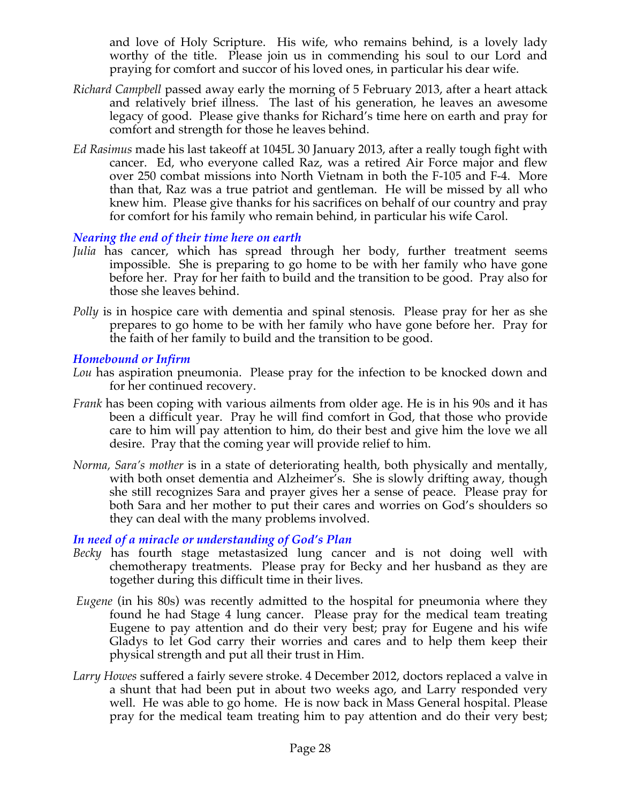and love of Holy Scripture. His wife, who remains behind, is a lovely lady worthy of the title. Please join us in commending his soul to our Lord and praying for comfort and succor of his loved ones, in particular his dear wife.

- *Richard Campbell* passed away early the morning of 5 February 2013, after a heart attack and relatively brief illness. The last of his generation, he leaves an awesome legacy of good. Please give thanks for Richard's time here on earth and pray for comfort and strength for those he leaves behind.
- *Ed Rasimus* made his last takeoff at 1045L 30 January 2013, after a really tough fight with cancer. Ed, who everyone called Raz, was a retired Air Force major and flew over 250 combat missions into North Vietnam in both the F-105 and F-4. More than that, Raz was a true patriot and gentleman. He will be missed by all who knew him. Please give thanks for his sacrifices on behalf of our country and pray for comfort for his family who remain behind, in particular his wife Carol.

*Nearing the end of their time here on earth*

- *Julia* has cancer, which has spread through her body, further treatment seems impossible. She is preparing to go home to be with her family who have gone before her. Pray for her faith to build and the transition to be good. Pray also for those she leaves behind.
- *Polly* is in hospice care with dementia and spinal stenosis. Please pray for her as she prepares to go home to be with her family who have gone before her. Pray for the faith of her family to build and the transition to be good.

#### *Homebound or Infirm*

- *Lou* has aspiration pneumonia. Please pray for the infection to be knocked down and for her continued recovery.
- *Frank* has been coping with various ailments from older age. He is in his 90s and it has been a difficult year. Pray he will find comfort in God, that those who provide care to him will pay attention to him, do their best and give him the love we all desire. Pray that the coming year will provide relief to him.
- *Norma, Sara's mother* is in a state of deteriorating health, both physically and mentally, with both onset dementia and Alzheimer's. She is slowly drifting away, though she still recognizes Sara and prayer gives her a sense of peace. Please pray for both Sara and her mother to put their cares and worries on God's shoulders so they can deal with the many problems involved.

#### *In need of a miracle or understanding of God's Plan*

- *Becky* has fourth stage metastasized lung cancer and is not doing well with chemotherapy treatments. Please pray for Becky and her husband as they are together during this difficult time in their lives.
- *Eugene* (in his 80s) was recently admitted to the hospital for pneumonia where they found he had Stage 4 lung cancer. Please pray for the medical team treating Eugene to pay attention and do their very best; pray for Eugene and his wife Gladys to let God carry their worries and cares and to help them keep their physical strength and put all their trust in Him.
- *Larry Howes* suffered a fairly severe stroke. 4 December 2012, doctors replaced a valve in a shunt that had been put in about two weeks ago, and Larry responded very well. He was able to go home. He is now back in Mass General hospital. Please pray for the medical team treating him to pay attention and do their very best;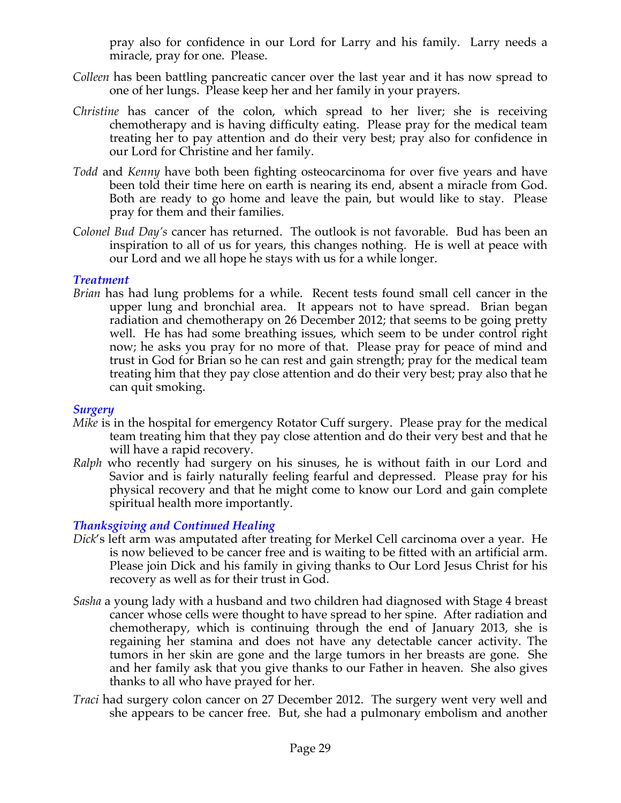pray also for confidence in our Lord for Larry and his family. Larry needs a miracle, pray for one. Please.

- *Colleen* has been battling pancreatic cancer over the last year and it has now spread to one of her lungs. Please keep her and her family in your prayers.
- *Christine* has cancer of the colon, which spread to her liver; she is receiving chemotherapy and is having difficulty eating. Please pray for the medical team treating her to pay attention and do their very best; pray also for confidence in our Lord for Christine and her family.
- *Todd* and *Kenny* have both been fighting osteocarcinoma for over five years and have been told their time here on earth is nearing its end, absent a miracle from God. Both are ready to go home and leave the pain, but would like to stay. Please pray for them and their families.
- *Colonel Bud Day's* cancer has returned. The outlook is not favorable. Bud has been an inspiration to all of us for years, this changes nothing. He is well at peace with our Lord and we all hope he stays with us for a while longer.

#### *Treatment*

*Brian* has had lung problems for a while. Recent tests found small cell cancer in the upper lung and bronchial area. It appears not to have spread. Brian began radiation and chemotherapy on 26 December 2012; that seems to be going pretty well. He has had some breathing issues, which seem to be under control right now; he asks you pray for no more of that. Please pray for peace of mind and trust in God for Brian so he can rest and gain strength; pray for the medical team treating him that they pay close attention and do their very best; pray also that he can quit smoking.

#### *Surgery*

- *Mike* is in the hospital for emergency Rotator Cuff surgery. Please pray for the medical team treating him that they pay close attention and do their very best and that he will have a rapid recovery.
- *Ralph* who recently had surgery on his sinuses, he is without faith in our Lord and Savior and is fairly naturally feeling fearful and depressed. Please pray for his physical recovery and that he might come to know our Lord and gain complete spiritual health more importantly.

# *Thanksgiving and Continued Healing*

- *Dick*'s left arm was amputated after treating for Merkel Cell carcinoma over a year. He is now believed to be cancer free and is waiting to be fitted with an artificial arm. Please join Dick and his family in giving thanks to Our Lord Jesus Christ for his recovery as well as for their trust in God.
- *Sasha* a young lady with a husband and two children had diagnosed with Stage 4 breast cancer whose cells were thought to have spread to her spine. After radiation and chemotherapy, which is continuing through the end of January 2013, she is regaining her stamina and does not have any detectable cancer activity. The tumors in her skin are gone and the large tumors in her breasts are gone. She and her family ask that you give thanks to our Father in heaven. She also gives thanks to all who have prayed for her.
- *Traci* had surgery colon cancer on 27 December 2012. The surgery went very well and she appears to be cancer free. But, she had a pulmonary embolism and another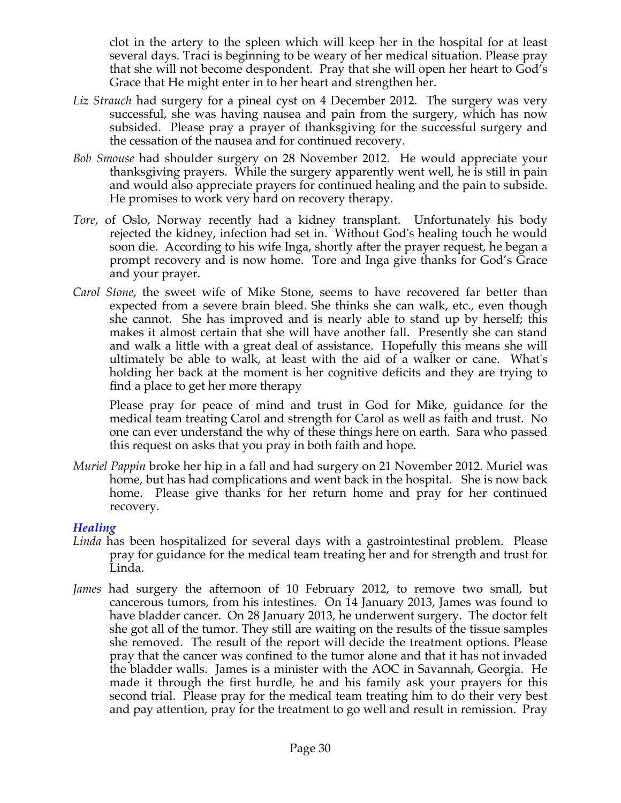clot in the artery to the spleen which will keep her in the hospital for at least several days. Traci is beginning to be weary of her medical situation. Please pray that she will not become despondent. Pray that she will open her heart to God's Grace that He might enter in to her heart and strengthen her.

- *Liz Strauch* had surgery for a pineal cyst on 4 December 2012. The surgery was very successful, she was having nausea and pain from the surgery, which has now subsided. Please pray a prayer of thanksgiving for the successful surgery and the cessation of the nausea and for continued recovery.
- *Bob Smouse* had shoulder surgery on 28 November 2012. He would appreciate your thanksgiving prayers. While the surgery apparently went well, he is still in pain and would also appreciate prayers for continued healing and the pain to subside. He promises to work very hard on recovery therapy.
- *Tore*, of Oslo, Norway recently had a kidney transplant. Unfortunately his body rejected the kidney, infection had set in. Without God's healing touch he would soon die. According to his wife Inga, shortly after the prayer request, he began a prompt recovery and is now home. Tore and Inga give thanks for God's Grace and your prayer.
- *Carol Stone*, the sweet wife of Mike Stone, seems to have recovered far better than expected from a severe brain bleed. She thinks she can walk, etc., even though she cannot. She has improved and is nearly able to stand up by herself; this makes it almost certain that she will have another fall. Presently she can stand and walk a little with a great deal of assistance. Hopefully this means she will ultimately be able to walk, at least with the aid of a walker or cane. What's holding her back at the moment is her cognitive deficits and they are trying to find a place to get her more therapy

Please pray for peace of mind and trust in God for Mike, guidance for the medical team treating Carol and strength for Carol as well as faith and trust. No one can ever understand the why of these things here on earth. Sara who passed this request on asks that you pray in both faith and hope.

*Muriel Pappin* broke her hip in a fall and had surgery on 21 November 2012. Muriel was home, but has had complications and went back in the hospital. She is now back home. Please give thanks for her return home and pray for her continued recovery.

# *Healing*

- *Linda* has been hospitalized for several days with a gastrointestinal problem. Please pray for guidance for the medical team treating her and for strength and trust for Linda.
- *James* had surgery the afternoon of 10 February 2012, to remove two small, but cancerous tumors, from his intestines. On 14 January 2013, James was found to have bladder cancer. On 28 January 2013, he underwent surgery. The doctor felt she got all of the tumor. They still are waiting on the results of the tissue samples she removed. The result of the report will decide the treatment options. Please pray that the cancer was confined to the tumor alone and that it has not invaded the bladder walls. James is a minister with the AOC in Savannah, Georgia. He made it through the first hurdle, he and his family ask your prayers for this second trial. Please pray for the medical team treating him to do their very best and pay attention, pray for the treatment to go well and result in remission. Pray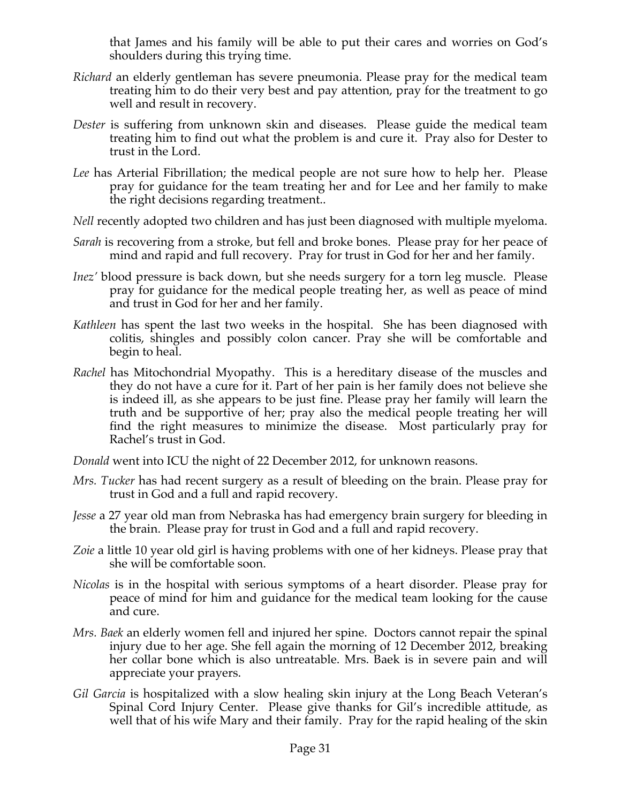that James and his family will be able to put their cares and worries on God's shoulders during this trying time.

- *Richard* an elderly gentleman has severe pneumonia. Please pray for the medical team treating him to do their very best and pay attention, pray for the treatment to go well and result in recovery.
- *Dester* is suffering from unknown skin and diseases. Please guide the medical team treating him to find out what the problem is and cure it. Pray also for Dester to trust in the Lord.
- *Lee* has Arterial Fibrillation; the medical people are not sure how to help her. Please pray for guidance for the team treating her and for Lee and her family to make the right decisions regarding treatment..
- *Nell* recently adopted two children and has just been diagnosed with multiple myeloma.
- *Sarah* is recovering from a stroke, but fell and broke bones. Please pray for her peace of mind and rapid and full recovery. Pray for trust in God for her and her family.
- *Inez'* blood pressure is back down, but she needs surgery for a torn leg muscle. Please pray for guidance for the medical people treating her, as well as peace of mind and trust in God for her and her family.
- *Kathleen* has spent the last two weeks in the hospital. She has been diagnosed with colitis, shingles and possibly colon cancer. Pray she will be comfortable and begin to heal.
- *Rachel* has Mitochondrial Myopathy. This is a hereditary disease of the muscles and they do not have a cure for it. Part of her pain is her family does not believe she is indeed ill, as she appears to be just fine. Please pray her family will learn the truth and be supportive of her; pray also the medical people treating her will find the right measures to minimize the disease. Most particularly pray for Rachel's trust in God.

*Donald* went into ICU the night of 22 December 2012, for unknown reasons.

- *Mrs. Tucker* has had recent surgery as a result of bleeding on the brain. Please pray for trust in God and a full and rapid recovery.
- *Jesse* a 27 year old man from Nebraska has had emergency brain surgery for bleeding in the brain. Please pray for trust in God and a full and rapid recovery.
- *Zoie* a little 10 year old girl is having problems with one of her kidneys. Please pray that she will be comfortable soon.
- *Nicolas* is in the hospital with serious symptoms of a heart disorder. Please pray for peace of mind for him and guidance for the medical team looking for the cause and cure.
- *Mrs. Baek* an elderly women fell and injured her spine. Doctors cannot repair the spinal injury due to her age. She fell again the morning of 12 December 2012, breaking her collar bone which is also untreatable. Mrs. Baek is in severe pain and will appreciate your prayers.
- *Gil Garcia* is hospitalized with a slow healing skin injury at the Long Beach Veteran's Spinal Cord Injury Center. Please give thanks for Gil's incredible attitude, as well that of his wife Mary and their family. Pray for the rapid healing of the skin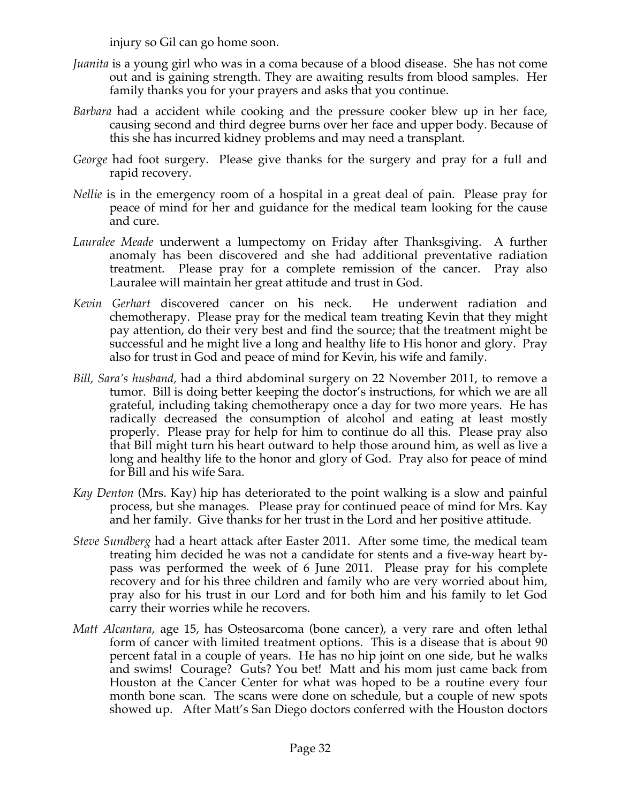injury so Gil can go home soon.

- *Juanita* is a young girl who was in a coma because of a blood disease. She has not come out and is gaining strength. They are awaiting results from blood samples. Her family thanks you for your prayers and asks that you continue.
- *Barbara* had a accident while cooking and the pressure cooker blew up in her face, causing second and third degree burns over her face and upper body. Because of this she has incurred kidney problems and may need a transplant.
- *George* had foot surgery. Please give thanks for the surgery and pray for a full and rapid recovery.
- *Nellie* is in the emergency room of a hospital in a great deal of pain. Please pray for peace of mind for her and guidance for the medical team looking for the cause and cure.
- *Lauralee Meade* underwent a lumpectomy on Friday after Thanksgiving. A further anomaly has been discovered and she had additional preventative radiation treatment. Please pray for a complete remission of the cancer. Pray also Lauralee will maintain her great attitude and trust in God.
- *Kevin Gerhart* discovered cancer on his neck. He underwent radiation and chemotherapy. Please pray for the medical team treating Kevin that they might pay attention, do their very best and find the source; that the treatment might be successful and he might live a long and healthy life to His honor and glory. Pray also for trust in God and peace of mind for Kevin, his wife and family.
- *Bill, Sara's husband,* had a third abdominal surgery on 22 November 2011, to remove a tumor. Bill is doing better keeping the doctor's instructions, for which we are all grateful, including taking chemotherapy once a day for two more years. He has radically decreased the consumption of alcohol and eating at least mostly properly. Please pray for help for him to continue do all this. Please pray also that Bill might turn his heart outward to help those around him, as well as live a long and healthy life to the honor and glory of God. Pray also for peace of mind for Bill and his wife Sara.
- *Kay Denton* (Mrs. Kay) hip has deteriorated to the point walking is a slow and painful process, but she manages. Please pray for continued peace of mind for Mrs. Kay and her family. Give thanks for her trust in the Lord and her positive attitude.
- *Steve Sundberg* had a heart attack after Easter 2011. After some time, the medical team treating him decided he was not a candidate for stents and a five-way heart bypass was performed the week of 6 June 2011. Please pray for his complete recovery and for his three children and family who are very worried about him, pray also for his trust in our Lord and for both him and his family to let God carry their worries while he recovers.
- *Matt Alcantara*, age 15, has Osteosarcoma (bone cancer), a very rare and often lethal form of cancer with limited treatment options. This is a disease that is about 90 percent fatal in a couple of years. He has no hip joint on one side, but he walks and swims! Courage? Guts? You bet! Matt and his mom just came back from Houston at the Cancer Center for what was hoped to be a routine every four month bone scan. The scans were done on schedule, but a couple of new spots showed up. After Matt's San Diego doctors conferred with the Houston doctors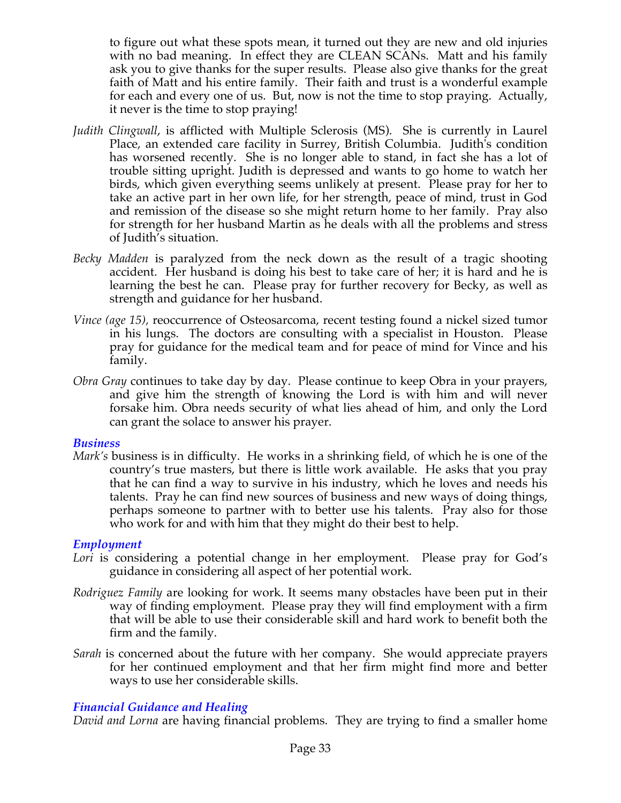to figure out what these spots mean, it turned out they are new and old injuries with no bad meaning. In effect they are CLEAN SCANs. Matt and his family ask you to give thanks for the super results. Please also give thanks for the great faith of Matt and his entire family. Their faith and trust is a wonderful example for each and every one of us. But, now is not the time to stop praying. Actually, it never is the time to stop praying!

- *Judith Clingwall*, is afflicted with Multiple Sclerosis (MS). She is currently in Laurel Place, an extended care facility in Surrey, British Columbia. Judith's condition has worsened recently. She is no longer able to stand, in fact she has a lot of trouble sitting upright. Judith is depressed and wants to go home to watch her birds, which given everything seems unlikely at present. Please pray for her to take an active part in her own life, for her strength, peace of mind, trust in God and remission of the disease so she might return home to her family. Pray also for strength for her husband Martin as he deals with all the problems and stress of Judith's situation.
- *Becky Madden* is paralyzed from the neck down as the result of a tragic shooting accident. Her husband is doing his best to take care of her; it is hard and he is learning the best he can. Please pray for further recovery for Becky, as well as strength and guidance for her husband.
- *Vince (age 15),* reoccurrence of Osteosarcoma, recent testing found a nickel sized tumor in his lungs. The doctors are consulting with a specialist in Houston. Please pray for guidance for the medical team and for peace of mind for Vince and his family.
- *Obra Gray* continues to take day by day. Please continue to keep Obra in your prayers, and give him the strength of knowing the Lord is with him and will never forsake him. Obra needs security of what lies ahead of him, and only the Lord can grant the solace to answer his prayer.

#### *Business*

*Mark's* business is in difficulty. He works in a shrinking field, of which he is one of the country's true masters, but there is little work available. He asks that you pray that he can find a way to survive in his industry, which he loves and needs his talents. Pray he can find new sources of business and new ways of doing things, perhaps someone to partner with to better use his talents. Pray also for those who work for and with him that they might do their best to help.

#### *Employment*

- *Lori* is considering a potential change in her employment. Please pray for God's guidance in considering all aspect of her potential work.
- *Rodriguez Family* are looking for work. It seems many obstacles have been put in their way of finding employment. Please pray they will find employment with a firm that will be able to use their considerable skill and hard work to benefit both the firm and the family.
- *Sarah* is concerned about the future with her company. She would appreciate prayers for her continued employment and that her firm might find more and better ways to use her considerable skills.

# *Financial Guidance and Healing*

*David and Lorna* are having financial problems. They are trying to find a smaller home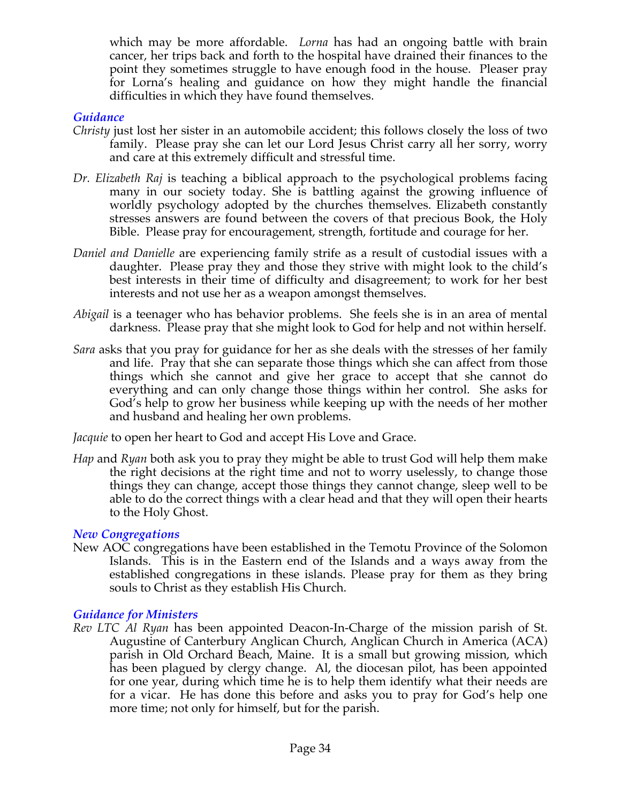which may be more affordable. *Lorna* has had an ongoing battle with brain cancer, her trips back and forth to the hospital have drained their finances to the point they sometimes struggle to have enough food in the house. Pleaser pray for Lorna's healing and guidance on how they might handle the financial difficulties in which they have found themselves.

#### *Guidance*

- *Christy* just lost her sister in an automobile accident; this follows closely the loss of two family. Please pray she can let our Lord Jesus Christ carry all her sorry, worry and care at this extremely difficult and stressful time.
- *Dr. Elizabeth Raj* is teaching a biblical approach to the psychological problems facing many in our society today. She is battling against the growing influence of worldly psychology adopted by the churches themselves. Elizabeth constantly stresses answers are found between the covers of that precious Book, the Holy Bible. Please pray for encouragement, strength, fortitude and courage for her.
- *Daniel and Danielle* are experiencing family strife as a result of custodial issues with a daughter. Please pray they and those they strive with might look to the child's best interests in their time of difficulty and disagreement; to work for her best interests and not use her as a weapon amongst themselves.
- *Abigail* is a teenager who has behavior problems. She feels she is in an area of mental darkness. Please pray that she might look to God for help and not within herself.
- *Sara* asks that you pray for guidance for her as she deals with the stresses of her family and life. Pray that she can separate those things which she can affect from those things which she cannot and give her grace to accept that she cannot do everything and can only change those things within her control. She asks for God's help to grow her business while keeping up with the needs of her mother and husband and healing her own problems.

*Jacquie* to open her heart to God and accept His Love and Grace.

*Hap* and *Ryan* both ask you to pray they might be able to trust God will help them make the right decisions at the right time and not to worry uselessly, to change those things they can change, accept those things they cannot change, sleep well to be able to do the correct things with a clear head and that they will open their hearts to the Holy Ghost.

#### *New Congregations*

New AOC congregations have been established in the Temotu Province of the Solomon Islands. This is in the Eastern end of the Islands and a ways away from the established congregations in these islands. Please pray for them as they bring souls to Christ as they establish His Church.

# *Guidance for Ministers*

*Rev LTC Al Ryan* has been appointed Deacon-In-Charge of the mission parish of St. Augustine of Canterbury Anglican Church, Anglican Church in America (ACA) parish in Old Orchard Beach, Maine. It is a small but growing mission, which has been plagued by clergy change. Al, the diocesan pilot, has been appointed for one year, during which time he is to help them identify what their needs are for a vicar. He has done this before and asks you to pray for God's help one more time; not only for himself, but for the parish.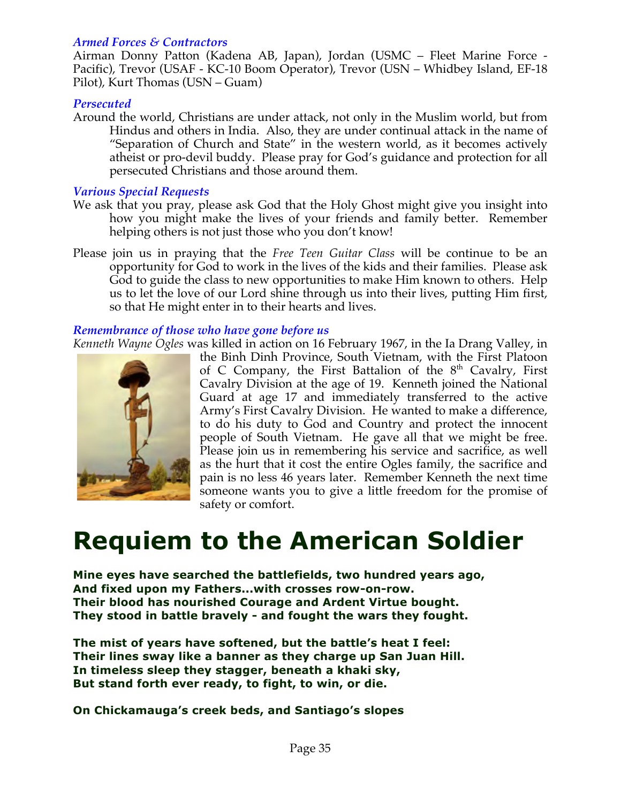#### *Armed Forces & Contractors*

Airman Donny Patton (Kadena AB, Japan), Jordan (USMC – Fleet Marine Force - Pacific), Trevor (USAF - KC-10 Boom Operator), Trevor (USN – Whidbey Island, EF-18 Pilot), Kurt Thomas (USN – Guam)

#### *Persecuted*

Around the world, Christians are under attack, not only in the Muslim world, but from Hindus and others in India. Also, they are under continual attack in the name of "Separation of Church and State" in the western world, as it becomes actively atheist or pro-devil buddy. Please pray for God's guidance and protection for all persecuted Christians and those around them.

#### *Various Special Requests*

- We ask that you pray, please ask God that the Holy Ghost might give you insight into how you might make the lives of your friends and family better. Remember helping others is not just those who you don't know!
- Please join us in praying that the *Free Teen Guitar Class* will be continue to be an opportunity for God to work in the lives of the kids and their families. Please ask God to guide the class to new opportunities to make Him known to others. Help us to let the love of our Lord shine through us into their lives, putting Him first, so that He might enter in to their hearts and lives.

#### *Remembrance of those who have gone before us*

*Kenneth Wayne Ogles* was killed in action on 16 February 1967, in the Ia Drang Valley, in



the Binh Dinh Province, South Vietnam, with the First Platoon of C Company, the First Battalion of the  $8<sup>th</sup>$  Cavalry, First Cavalry Division at the age of 19. Kenneth joined the National Guard at age 17 and immediately transferred to the active Army's First Cavalry Division. He wanted to make a difference, to do his duty to God and Country and protect the innocent people of South Vietnam. He gave all that we might be free. Please join us in remembering his service and sacrifice, as well as the hurt that it cost the entire Ogles family, the sacrifice and pain is no less 46 years later. Remember Kenneth the next time someone wants you to give a little freedom for the promise of safety or comfort.

# **Requiem to the American Soldier**

**Mine eyes have searched the battlefields, two hundred years ago, And fixed upon my Fathers...with crosses row-on-row. Their blood has nourished Courage and Ardent Virtue bought. They stood in battle bravely - and fought the wars they fought.**

**The mist of years have softened, but the battle's heat I feel: Their lines sway like a banner as they charge up San Juan Hill. In timeless sleep they stagger, beneath a khaki sky, But stand forth ever ready, to fight, to win, or die.**

**On Chickamauga's creek beds, and Santiago's slopes**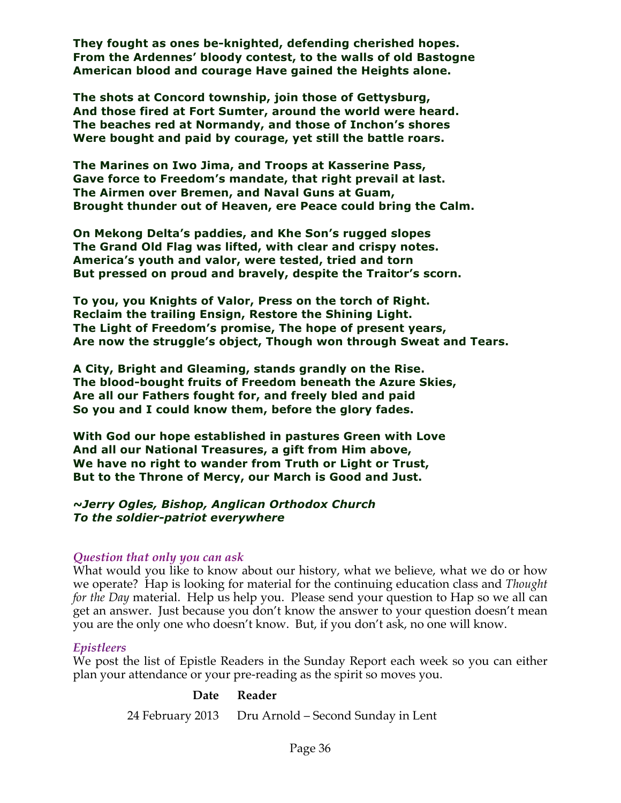**They fought as ones be-knighted, defending cherished hopes. From the Ardennes' bloody contest, to the walls of old Bastogne American blood and courage Have gained the Heights alone.**

**The shots at Concord township, join those of Gettysburg, And those fired at Fort Sumter, around the world were heard. The beaches red at Normandy, and those of Inchon's shores Were bought and paid by courage, yet still the battle roars.**

**The Marines on Iwo Jima, and Troops at Kasserine Pass, Gave force to Freedom's mandate, that right prevail at last. The Airmen over Bremen, and Naval Guns at Guam, Brought thunder out of Heaven, ere Peace could bring the Calm.**

**On Mekong Delta's paddies, and Khe Son's rugged slopes The Grand Old Flag was lifted, with clear and crispy notes. America's youth and valor, were tested, tried and torn But pressed on proud and bravely, despite the Traitor's scorn.**

**To you, you Knights of Valor, Press on the torch of Right. Reclaim the trailing Ensign, Restore the Shining Light. The Light of Freedom's promise, The hope of present years, Are now the struggle's object, Though won through Sweat and Tears.**

**A City, Bright and Gleaming, stands grandly on the Rise. The blood-bought fruits of Freedom beneath the Azure Skies, Are all our Fathers fought for, and freely bled and paid So you and I could know them, before the glory fades.**

**With God our hope established in pastures Green with Love And all our National Treasures, a gift from Him above, We have no right to wander from Truth or Light or Trust, But to the Throne of Mercy, our March is Good and Just.**

#### *~Jerry Ogles, Bishop, Anglican Orthodox Church To the soldier-patriot everywhere*

#### *Question that only you can ask*

What would you like to know about our history, what we believe, what we do or how we operate? Hap is looking for material for the continuing education class and *Thought for the Day* material. Help us help you. Please send your question to Hap so we all can get an answer. Just because you don't know the answer to your question doesn't mean you are the only one who doesn't know. But, if you don't ask, no one will know.

#### *Epistleers*

We post the list of Epistle Readers in the Sunday Report each week so you can either plan your attendance or your pre-reading as the spirit so moves you.

#### **Date Reader**

24 February 2013 Dru Arnold – Second Sunday in Lent